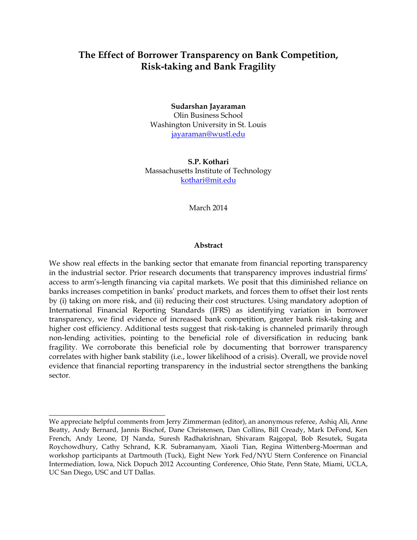# **The Effect of Borrower Transparency on Bank Competition, Risk-taking and Bank Fragility**

**Sudarshan Jayaraman** Olin Business School Washington University in St. Louis [jayaraman@wustl.edu](mailto:jayaraman@wustl.edu)

**S.P. Kothari** Massachusetts Institute of Technology [kothari@mit.edu](mailto:kothari@mit.edu)

March 2014

#### **Abstract**

We show real effects in the banking sector that emanate from financial reporting transparency in the industrial sector. Prior research documents that transparency improves industrial firms' access to arm's-length financing via capital markets. We posit that this diminished reliance on banks increases competition in banks' product markets, and forces them to offset their lost rents by (i) taking on more risk, and (ii) reducing their cost structures. Using mandatory adoption of International Financial Reporting Standards (IFRS) as identifying variation in borrower transparency, we find evidence of increased bank competition, greater bank risk-taking and higher cost efficiency. Additional tests suggest that risk-taking is channeled primarily through non-lending activities, pointing to the beneficial role of diversification in reducing bank fragility. We corroborate this beneficial role by documenting that borrower transparency correlates with higher bank stability (i.e., lower likelihood of a crisis). Overall, we provide novel evidence that financial reporting transparency in the industrial sector strengthens the banking sector.

\_\_\_\_\_\_\_\_\_\_\_\_\_\_\_\_\_\_\_\_\_\_\_\_\_\_\_\_\_\_\_

We appreciate helpful comments from Jerry Zimmerman (editor), an anonymous referee, Ashiq Ali, Anne Beatty, Andy Bernard, Jannis Bischof, Dane Christensen, Dan Collins, Bill Cready, Mark DeFond, Ken French, Andy Leone, DJ Nanda, Suresh Radhakrishnan, Shivaram Rajgopal, Bob Resutek, Sugata Roychowdhury, Cathy Schrand, K.R. Subramanyam, Xiaoli Tian, Regina Wittenberg-Moerman and workshop participants at Dartmouth (Tuck), Eight New York Fed/NYU Stern Conference on Financial Intermediation, Iowa, Nick Dopuch 2012 Accounting Conference, Ohio State, Penn State, Miami, UCLA, UC San Diego, USC and UT Dallas.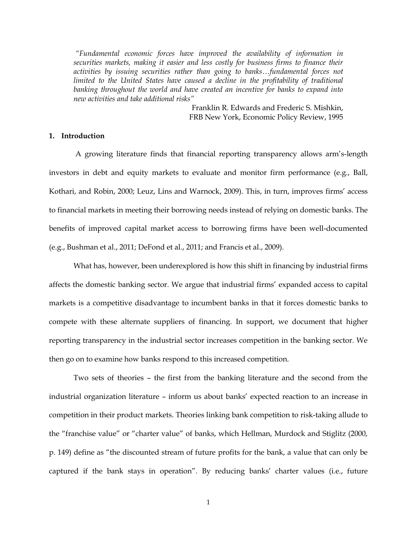*"Fundamental economic forces have improved the availability of information in securities markets, making it easier and less costly for business firms to finance their activities by issuing securities rather than going to banks…fundamental forces not*  limited to the United States have caused a decline in the profitability of traditional banking throughout the world and have created an incentive for banks to expand into *new activities and take additional risks"*

> Franklin R. Edwards and Frederic S. Mishkin, FRB New York, Economic Policy Review, 1995

### **1. Introduction**

A growing literature finds that financial reporting transparency allows arm's-length investors in debt and equity markets to evaluate and monitor firm performance (e.g., Ball, Kothari, and Robin, 2000; Leuz, Lins and Warnock, 2009). This, in turn, improves firms' access to financial markets in meeting their borrowing needs instead of relying on domestic banks. The benefits of improved capital market access to borrowing firms have been well-documented (e.g., Bushman et al., 2011; DeFond et al., 2011; and Francis et al., 2009).

What has, however, been underexplored is how this shift in financing by industrial firms affects the domestic banking sector. We argue that industrial firms' expanded access to capital markets is a competitive disadvantage to incumbent banks in that it forces domestic banks to compete with these alternate suppliers of financing. In support, we document that higher reporting transparency in the industrial sector increases competition in the banking sector. We then go on to examine how banks respond to this increased competition.

Two sets of theories – the first from the banking literature and the second from the industrial organization literature – inform us about banks' expected reaction to an increase in competition in their product markets. Theories linking bank competition to risk-taking allude to the "franchise value" or "charter value" of banks, which Hellman, Murdock and Stiglitz (2000, p. 149) define as "the discounted stream of future profits for the bank, a value that can only be captured if the bank stays in operation". By reducing banks' charter values (i.e., future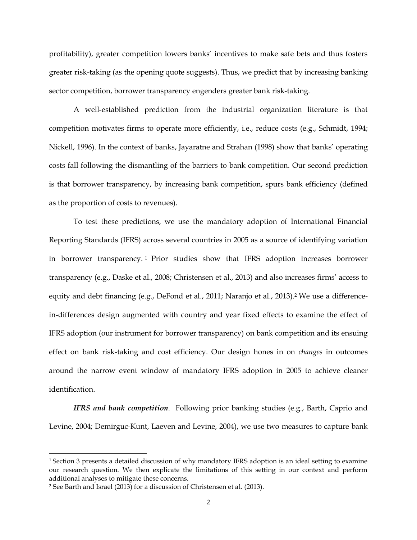profitability), greater competition lowers banks' incentives to make safe bets and thus fosters greater risk-taking (as the opening quote suggests). Thus, we predict that by increasing banking sector competition, borrower transparency engenders greater bank risk-taking.

A well-established prediction from the industrial organization literature is that competition motivates firms to operate more efficiently, i.e., reduce costs (e.g., Schmidt, 1994; Nickell, 1996). In the context of banks, Jayaratne and Strahan (1998) show that banks' operating costs fall following the dismantling of the barriers to bank competition. Our second prediction is that borrower transparency, by increasing bank competition, spurs bank efficiency (defined as the proportion of costs to revenues).

To test these predictions, we use the mandatory adoption of International Financial Reporting Standards (IFRS) across several countries in 2005 as a source of identifying variation in borrower transparency. <sup>1</sup> Prior studies show that IFRS adoption increases borrower transparency (e.g., Daske et al., 2008; Christensen et al., 2013) and also increases firms' access to equity and debt financing (e.g., DeFond et al., 2011; Naranjo et al., 2013).<sup>2</sup> We use a differencein-differences design augmented with country and year fixed effects to examine the effect of IFRS adoption (our instrument for borrower transparency) on bank competition and its ensuing effect on bank risk-taking and cost efficiency. Our design hones in on *changes* in outcomes around the narrow event window of mandatory IFRS adoption in 2005 to achieve cleaner identification.

*IFRS and bank competition*. Following prior banking studies (e.g., Barth, Caprio and Levine, 2004; Demirguc-Kunt, Laeven and Levine, 2004), we use two measures to capture bank

 $\overline{\phantom{a}}$ 

<sup>&</sup>lt;sup>1</sup> Section 3 presents a detailed discussion of why mandatory IFRS adoption is an ideal setting to examine our research question. We then explicate the limitations of this setting in our context and perform additional analyses to mitigate these concerns.

<sup>2</sup> See Barth and Israel (2013) for a discussion of Christensen et al. (2013).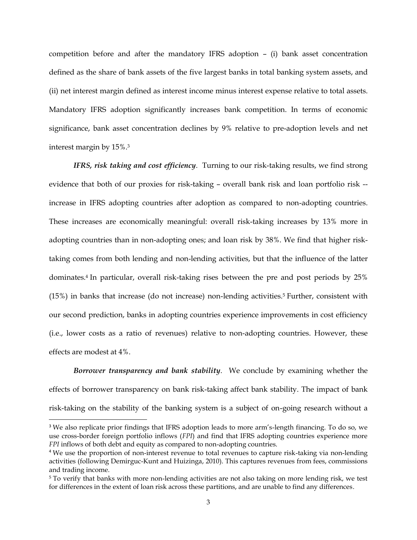competition before and after the mandatory IFRS adoption – (i) bank asset concentration defined as the share of bank assets of the five largest banks in total banking system assets, and (ii) net interest margin defined as interest income minus interest expense relative to total assets. Mandatory IFRS adoption significantly increases bank competition. In terms of economic significance, bank asset concentration declines by 9% relative to pre-adoption levels and net interest margin by 15%.<sup>3</sup>

*IFRS, risk taking and cost efficiency*. Turning to our risk-taking results, we find strong evidence that both of our proxies for risk-taking – overall bank risk and loan portfolio risk - increase in IFRS adopting countries after adoption as compared to non-adopting countries. These increases are economically meaningful: overall risk-taking increases by 13% more in adopting countries than in non-adopting ones; and loan risk by 38%. We find that higher risktaking comes from both lending and non-lending activities, but that the influence of the latter dominates. <sup>4</sup> In particular, overall risk-taking rises between the pre and post periods by 25% (15%) in banks that increase (do not increase) non-lending activities.<sup>5</sup> Further, consistent with our second prediction, banks in adopting countries experience improvements in cost efficiency (i.e., lower costs as a ratio of revenues) relative to non-adopting countries. However, these effects are modest at 4%.

*Borrower transparency and bank stability*. We conclude by examining whether the effects of borrower transparency on bank risk-taking affect bank stability. The impact of bank risk-taking on the stability of the banking system is a subject of on-going research without a

l

<sup>3</sup> We also replicate prior findings that IFRS adoption leads to more arm's-length financing. To do so, we use cross-border foreign portfolio inflows (*FPI*) and find that IFRS adopting countries experience more *FPI* inflows of both debt and equity as compared to non-adopting countries.

<sup>4</sup> We use the proportion of non-interest revenue to total revenues to capture risk-taking via non-lending activities (following Demirguc-Kunt and Huizinga, 2010). This captures revenues from fees, commissions and trading income.

<sup>&</sup>lt;sup>5</sup> To verify that banks with more non-lending activities are not also taking on more lending risk, we test for differences in the extent of loan risk across these partitions, and are unable to find any differences.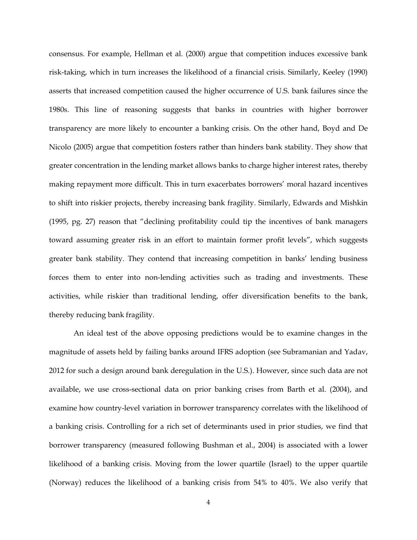consensus. For example, Hellman et al. (2000) argue that competition induces excessive bank risk-taking, which in turn increases the likelihood of a financial crisis. Similarly, Keeley (1990) asserts that increased competition caused the higher occurrence of U.S. bank failures since the 1980s. This line of reasoning suggests that banks in countries with higher borrower transparency are more likely to encounter a banking crisis. On the other hand, Boyd and De Nicolo (2005) argue that competition fosters rather than hinders bank stability. They show that greater concentration in the lending market allows banks to charge higher interest rates, thereby making repayment more difficult. This in turn exacerbates borrowers' moral hazard incentives to shift into riskier projects, thereby increasing bank fragility. Similarly, Edwards and Mishkin (1995, pg. 27) reason that "declining profitability could tip the incentives of bank managers toward assuming greater risk in an effort to maintain former profit levels", which suggests greater bank stability. They contend that increasing competition in banks' lending business forces them to enter into non-lending activities such as trading and investments. These activities, while riskier than traditional lending, offer diversification benefits to the bank, thereby reducing bank fragility.

An ideal test of the above opposing predictions would be to examine changes in the magnitude of assets held by failing banks around IFRS adoption (see Subramanian and Yadav, 2012 for such a design around bank deregulation in the U.S.). However, since such data are not available, we use cross-sectional data on prior banking crises from Barth et al. (2004), and examine how country-level variation in borrower transparency correlates with the likelihood of a banking crisis. Controlling for a rich set of determinants used in prior studies, we find that borrower transparency (measured following Bushman et al., 2004) is associated with a lower likelihood of a banking crisis. Moving from the lower quartile (Israel) to the upper quartile (Norway) reduces the likelihood of a banking crisis from 54% to 40%. We also verify that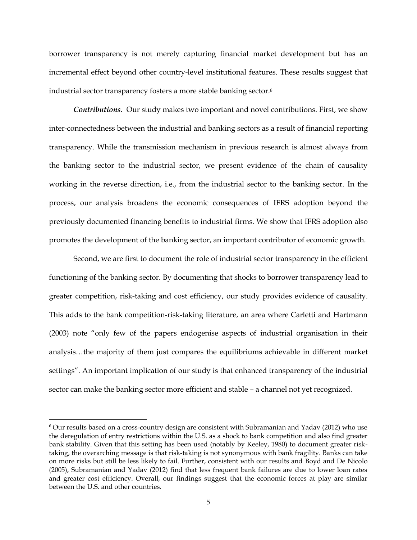borrower transparency is not merely capturing financial market development but has an incremental effect beyond other country-level institutional features. These results suggest that industrial sector transparency fosters a more stable banking sector.<sup>6</sup>

*Contributions*. Our study makes two important and novel contributions. First, we show inter-connectedness between the industrial and banking sectors as a result of financial reporting transparency. While the transmission mechanism in previous research is almost always from the banking sector to the industrial sector, we present evidence of the chain of causality working in the reverse direction, i.e., from the industrial sector to the banking sector. In the process, our analysis broadens the economic consequences of IFRS adoption beyond the previously documented financing benefits to industrial firms. We show that IFRS adoption also promotes the development of the banking sector, an important contributor of economic growth.

Second, we are first to document the role of industrial sector transparency in the efficient functioning of the banking sector. By documenting that shocks to borrower transparency lead to greater competition, risk-taking and cost efficiency, our study provides evidence of causality. This adds to the bank competition-risk-taking literature, an area where Carletti and Hartmann (2003) note "only few of the papers endogenise aspects of industrial organisation in their analysis…the majority of them just compares the equilibriums achievable in different market settings". An important implication of our study is that enhanced transparency of the industrial sector can make the banking sector more efficient and stable – a channel not yet recognized.

l

<sup>6</sup> Our results based on a cross-country design are consistent with Subramanian and Yadav (2012) who use the deregulation of entry restrictions within the U.S. as a shock to bank competition and also find greater bank stability. Given that this setting has been used (notably by Keeley, 1980) to document greater risktaking, the overarching message is that risk-taking is not synonymous with bank fragility. Banks can take on more risks but still be less likely to fail. Further, consistent with our results and Boyd and De Nicolo (2005), Subramanian and Yadav (2012) find that less frequent bank failures are due to lower loan rates and greater cost efficiency. Overall, our findings suggest that the economic forces at play are similar between the U.S. and other countries.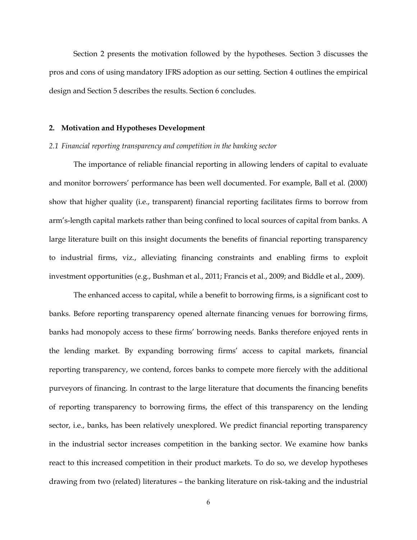Section 2 presents the motivation followed by the hypotheses. Section 3 discusses the pros and cons of using mandatory IFRS adoption as our setting. Section 4 outlines the empirical design and Section 5 describes the results. Section 6 concludes.

#### **2. Motivation and Hypotheses Development**

#### *2.1 Financial reporting transparency and competition in the banking sector*

The importance of reliable financial reporting in allowing lenders of capital to evaluate and monitor borrowers' performance has been well documented. For example, Ball et al. (2000) show that higher quality (i.e., transparent) financial reporting facilitates firms to borrow from arm's-length capital markets rather than being confined to local sources of capital from banks. A large literature built on this insight documents the benefits of financial reporting transparency to industrial firms, viz., alleviating financing constraints and enabling firms to exploit investment opportunities (e.g., Bushman et al., 2011; Francis et al., 2009; and Biddle et al., 2009).

The enhanced access to capital, while a benefit to borrowing firms, is a significant cost to banks. Before reporting transparency opened alternate financing venues for borrowing firms, banks had monopoly access to these firms' borrowing needs. Banks therefore enjoyed rents in the lending market. By expanding borrowing firms' access to capital markets, financial reporting transparency, we contend, forces banks to compete more fiercely with the additional purveyors of financing. In contrast to the large literature that documents the financing benefits of reporting transparency to borrowing firms, the effect of this transparency on the lending sector, i.e., banks, has been relatively unexplored. We predict financial reporting transparency in the industrial sector increases competition in the banking sector. We examine how banks react to this increased competition in their product markets. To do so, we develop hypotheses drawing from two (related) literatures – the banking literature on risk-taking and the industrial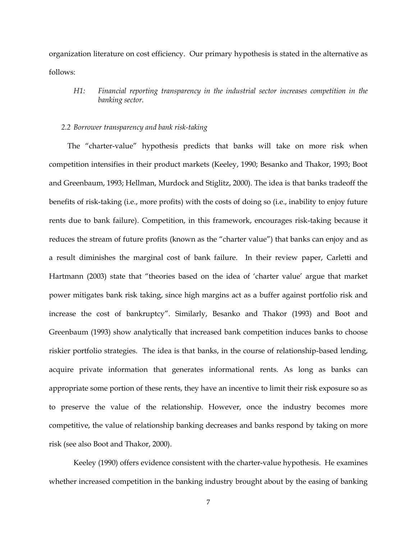organization literature on cost efficiency. Our primary hypothesis is stated in the alternative as follows:

*H1: Financial reporting transparency in the industrial sector increases competition in the banking sector.*

#### *2.2 Borrower transparency and bank risk-taking*

The "charter-value" hypothesis predicts that banks will take on more risk when competition intensifies in their product markets (Keeley, 1990; Besanko and Thakor, 1993; Boot and Greenbaum, 1993; Hellman, Murdock and Stiglitz, 2000). The idea is that banks tradeoff the benefits of risk-taking (i.e., more profits) with the costs of doing so (i.e., inability to enjoy future rents due to bank failure). Competition, in this framework, encourages risk-taking because it reduces the stream of future profits (known as the "charter value") that banks can enjoy and as a result diminishes the marginal cost of bank failure. In their review paper, Carletti and Hartmann (2003) state that "theories based on the idea of 'charter value' argue that market power mitigates bank risk taking, since high margins act as a buffer against portfolio risk and increase the cost of bankruptcy". Similarly, Besanko and Thakor (1993) and Boot and Greenbaum (1993) show analytically that increased bank competition induces banks to choose riskier portfolio strategies. The idea is that banks, in the course of relationship-based lending, acquire private information that generates informational rents. As long as banks can appropriate some portion of these rents, they have an incentive to limit their risk exposure so as to preserve the value of the relationship. However, once the industry becomes more competitive, the value of relationship banking decreases and banks respond by taking on more risk (see also Boot and Thakor, 2000).

Keeley (1990) offers evidence consistent with the charter-value hypothesis. He examines whether increased competition in the banking industry brought about by the easing of banking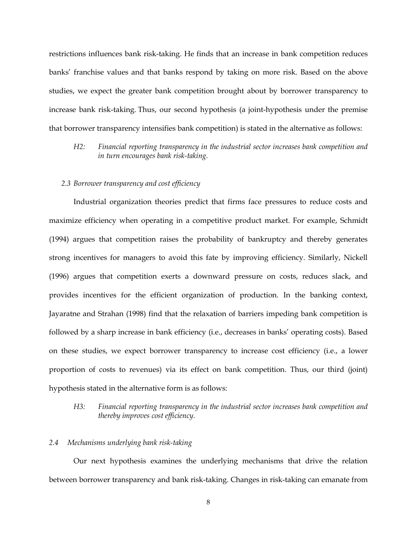restrictions influences bank risk-taking. He finds that an increase in bank competition reduces banks' franchise values and that banks respond by taking on more risk. Based on the above studies, we expect the greater bank competition brought about by borrower transparency to increase bank risk-taking. Thus, our second hypothesis (a joint-hypothesis under the premise that borrower transparency intensifies bank competition) is stated in the alternative as follows:

*H2: Financial reporting transparency in the industrial sector increases bank competition and in turn encourages bank risk-taking.*

### *2.3 Borrower transparency and cost efficiency*

Industrial organization theories predict that firms face pressures to reduce costs and maximize efficiency when operating in a competitive product market. For example, Schmidt (1994) argues that competition raises the probability of bankruptcy and thereby generates strong incentives for managers to avoid this fate by improving efficiency. Similarly, Nickell (1996) argues that competition exerts a downward pressure on costs, reduces slack, and provides incentives for the efficient organization of production. In the banking context, Jayaratne and Strahan (1998) find that the relaxation of barriers impeding bank competition is followed by a sharp increase in bank efficiency (i.e., decreases in banks' operating costs). Based on these studies, we expect borrower transparency to increase cost efficiency (i.e., a lower proportion of costs to revenues) via its effect on bank competition. Thus, our third (joint) hypothesis stated in the alternative form is as follows:

# *H3: Financial reporting transparency in the industrial sector increases bank competition and thereby improves cost efficiency.*

#### *2.4 Mechanisms underlying bank risk-taking*

Our next hypothesis examines the underlying mechanisms that drive the relation between borrower transparency and bank risk-taking. Changes in risk-taking can emanate from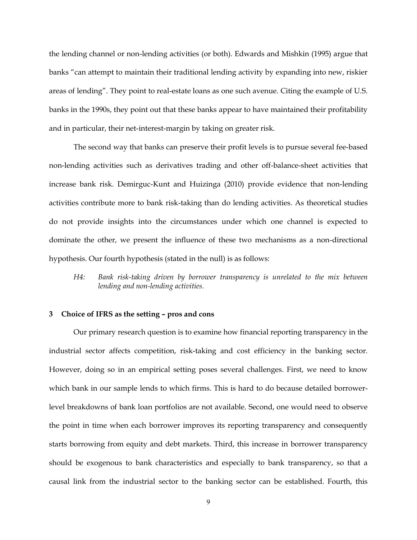the lending channel or non-lending activities (or both). Edwards and Mishkin (1995) argue that banks "can attempt to maintain their traditional lending activity by expanding into new, riskier areas of lending". They point to real-estate loans as one such avenue. Citing the example of U.S. banks in the 1990s, they point out that these banks appear to have maintained their profitability and in particular, their net-interest-margin by taking on greater risk.

The second way that banks can preserve their profit levels is to pursue several fee-based non-lending activities such as derivatives trading and other off-balance-sheet activities that increase bank risk. Demirguc-Kunt and Huizinga (2010) provide evidence that non-lending activities contribute more to bank risk-taking than do lending activities. As theoretical studies do not provide insights into the circumstances under which one channel is expected to dominate the other, we present the influence of these two mechanisms as a non-directional hypothesis. Our fourth hypothesis (stated in the null) is as follows:

*H4: Bank risk-taking driven by borrower transparency is unrelated to the mix between lending and non-lending activities.*

#### **3 Choice of IFRS as the setting – pros and cons**

Our primary research question is to examine how financial reporting transparency in the industrial sector affects competition, risk-taking and cost efficiency in the banking sector. However, doing so in an empirical setting poses several challenges. First, we need to know which bank in our sample lends to which firms. This is hard to do because detailed borrowerlevel breakdowns of bank loan portfolios are not available. Second, one would need to observe the point in time when each borrower improves its reporting transparency and consequently starts borrowing from equity and debt markets. Third, this increase in borrower transparency should be exogenous to bank characteristics and especially to bank transparency, so that a causal link from the industrial sector to the banking sector can be established. Fourth, this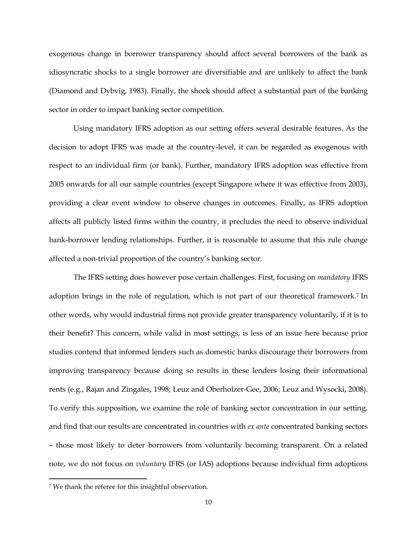exogenous change in borrower transparency should affect several borrowers of the bank as idiosyncratic shocks to a single borrower are diversifiable and are unlikely to affect the bank (Diamond and Dybvig, 1983). Finally, the shock should affect a substantial part of the banking sector in order to impact banking sector competition.

Using mandatory IFRS adoption as our setting offers several desirable features. As the decision to adopt IFRS was made at the country-level, it can be regarded as exogenous with respect to an individual firm (or bank). Further, mandatory IFRS adoption was effective from 2005 onwards for all our sample countries (except Singapore where it was effective from 2003), providing a clear event window to observe changes in outcomes. Finally, as IFRS adoption affects all publicly listed firms within the country, it precludes the need to observe individual bank-borrower lending relationships. Further, it is reasonable to assume that this rule change affected a non-trivial proportion of the country's banking sector.

The IFRS setting does however pose certain challenges. First, focusing on *mandatory* IFRS adoption brings in the role of regulation, which is not part of our theoretical framework.<sup>7</sup> In other words, why would industrial firms not provide greater transparency voluntarily, if it is to their benefit? This concern, while valid in most settings, is less of an issue here because prior studies contend that informed lenders such as domestic banks discourage their borrowers from improving transparency because doing so results in these lenders losing their informational rents (e.g., Rajan and Zingales, 1998; Leuz and Oberholzer-Gee, 2006; Leuz and Wysocki, 2008). To verify this supposition, we examine the role of banking sector concentration in our setting, and find that our results are concentrated in countries with *ex ante* concentrated banking sectors – those most likely to deter borrowers from voluntarily becoming transparent. On a related note, we do not focus on *voluntary* IFRS (or IAS) adoptions because individual firm adoptions

l

<sup>7</sup> We thank the referee for this insightful observation.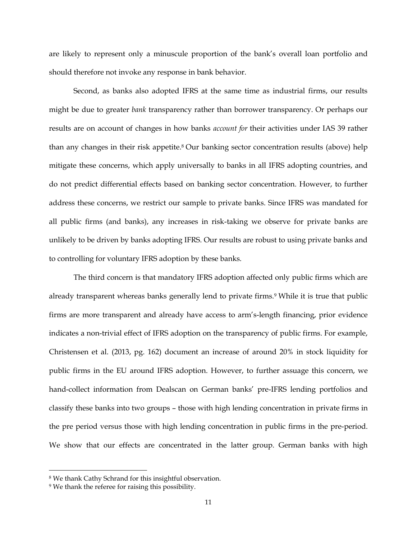are likely to represent only a minuscule proportion of the bank's overall loan portfolio and should therefore not invoke any response in bank behavior.

Second, as banks also adopted IFRS at the same time as industrial firms, our results might be due to greater *bank* transparency rather than borrower transparency. Or perhaps our results are on account of changes in how banks *account for* their activities under IAS 39 rather than any changes in their risk appetite.<sup>8</sup> Our banking sector concentration results (above) help mitigate these concerns, which apply universally to banks in all IFRS adopting countries, and do not predict differential effects based on banking sector concentration. However, to further address these concerns, we restrict our sample to private banks. Since IFRS was mandated for all public firms (and banks), any increases in risk-taking we observe for private banks are unlikely to be driven by banks adopting IFRS. Our results are robust to using private banks and to controlling for voluntary IFRS adoption by these banks.

The third concern is that mandatory IFRS adoption affected only public firms which are already transparent whereas banks generally lend to private firms.<sup>9</sup> While it is true that public firms are more transparent and already have access to arm's-length financing, prior evidence indicates a non-trivial effect of IFRS adoption on the transparency of public firms. For example, Christensen et al. (2013, pg. 162) document an increase of around 20% in stock liquidity for public firms in the EU around IFRS adoption. However, to further assuage this concern, we hand-collect information from Dealscan on German banks' pre-IFRS lending portfolios and classify these banks into two groups – those with high lending concentration in private firms in the pre period versus those with high lending concentration in public firms in the pre-period. We show that our effects are concentrated in the latter group. German banks with high

 $\overline{a}$ 

<sup>8</sup> We thank Cathy Schrand for this insightful observation.

<sup>9</sup> We thank the referee for raising this possibility.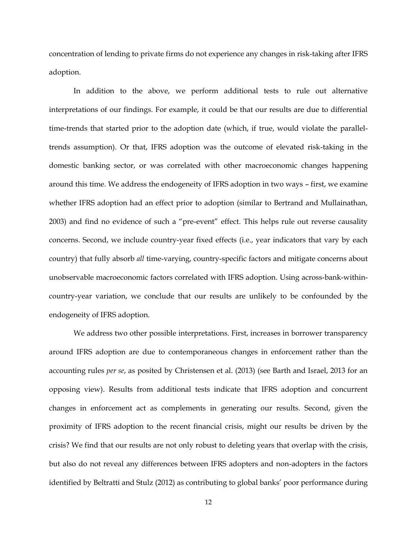concentration of lending to private firms do not experience any changes in risk-taking after IFRS adoption.

In addition to the above, we perform additional tests to rule out alternative interpretations of our findings. For example, it could be that our results are due to differential time-trends that started prior to the adoption date (which, if true, would violate the paralleltrends assumption). Or that, IFRS adoption was the outcome of elevated risk-taking in the domestic banking sector, or was correlated with other macroeconomic changes happening around this time. We address the endogeneity of IFRS adoption in two ways – first, we examine whether IFRS adoption had an effect prior to adoption (similar to Bertrand and Mullainathan, 2003) and find no evidence of such a "pre-event" effect. This helps rule out reverse causality concerns. Second, we include country-year fixed effects (i.e., year indicators that vary by each country) that fully absorb *all* time-varying, country-specific factors and mitigate concerns about unobservable macroeconomic factors correlated with IFRS adoption. Using across-bank-withincountry-year variation, we conclude that our results are unlikely to be confounded by the endogeneity of IFRS adoption.

We address two other possible interpretations. First, increases in borrower transparency around IFRS adoption are due to contemporaneous changes in enforcement rather than the accounting rules *per se*, as posited by Christensen et al. (2013) (see Barth and Israel, 2013 for an opposing view). Results from additional tests indicate that IFRS adoption and concurrent changes in enforcement act as complements in generating our results. Second, given the proximity of IFRS adoption to the recent financial crisis, might our results be driven by the crisis? We find that our results are not only robust to deleting years that overlap with the crisis, but also do not reveal any differences between IFRS adopters and non-adopters in the factors identified by Beltratti and Stulz (2012) as contributing to global banks' poor performance during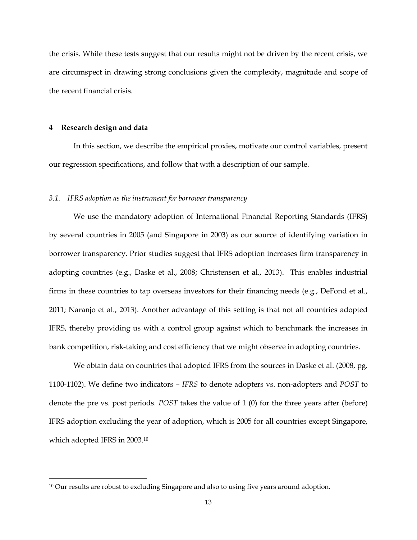the crisis. While these tests suggest that our results might not be driven by the recent crisis, we are circumspect in drawing strong conclusions given the complexity, magnitude and scope of the recent financial crisis.

#### **4 Research design and data**

l

In this section, we describe the empirical proxies, motivate our control variables, present our regression specifications, and follow that with a description of our sample.

#### *3.1. IFRS adoption as the instrument for borrower transparency*

We use the mandatory adoption of International Financial Reporting Standards (IFRS) by several countries in 2005 (and Singapore in 2003) as our source of identifying variation in borrower transparency. Prior studies suggest that IFRS adoption increases firm transparency in adopting countries (e.g., Daske et al., 2008; Christensen et al., 2013). This enables industrial firms in these countries to tap overseas investors for their financing needs (e.g., DeFond et al., 2011; Naranjo et al., 2013). Another advantage of this setting is that not all countries adopted IFRS, thereby providing us with a control group against which to benchmark the increases in bank competition, risk-taking and cost efficiency that we might observe in adopting countries.

We obtain data on countries that adopted IFRS from the sources in Daske et al. (2008, pg. 1100-1102). We define two indicators – *IFRS* to denote adopters vs. non-adopters and *POST* to denote the pre vs. post periods. *POST* takes the value of 1 (0) for the three years after (before) IFRS adoption excluding the year of adoption, which is 2005 for all countries except Singapore, which adopted IFRS in 2003.<sup>10</sup>

<sup>&</sup>lt;sup>10</sup> Our results are robust to excluding Singapore and also to using five years around adoption.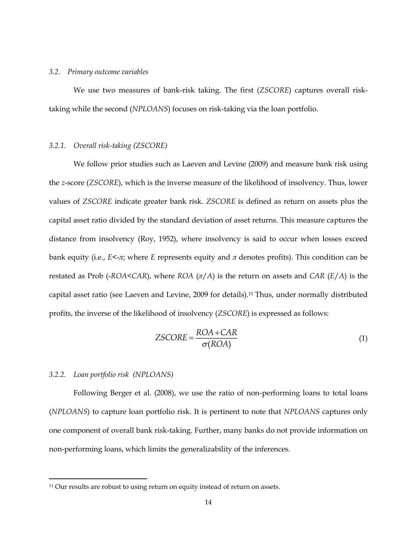#### *3.2. Primary outcome variables*

We use two measures of bank-risk taking. The first (*ZSCORE*) captures overall risktaking while the second (*NPLOANS*) focuses on risk-taking via the loan portfolio.

### *3.2.1. Overall risk-taking (ZSCORE)*

We follow prior studies such as Laeven and Levine (2009) and measure bank risk using the *z*-score (*ZSCORE*), which is the inverse measure of the likelihood of insolvency. Thus, lower values of *ZSCORE* indicate greater bank risk. *ZSCORE* is defined as return on assets plus the capital asset ratio divided by the standard deviation of asset returns. This measure captures the distance from insolvency (Roy, 1952), where insolvency is said to occur when losses exceed bank equity (i.e., *E*<-*π*; where *E* represents equity and *π* denotes profits). This condition can be restated as Prob (-*ROA*<*CAR*), where *ROA* (*π*/*A*) is the return on assets and *CAR* (*E*/*A*) is the capital asset ratio (see Laeven and Levine, 2009 for details).<sup>11</sup> Thus, under normally distributed profits, the inverse of the likelihood of insolvency (*ZSCORE*) is expressed as follows:

$$
ZSCORE = \frac{ROA + CAR}{\sigma (ROA)}\tag{1}
$$

### *3.2.2. Loan portfolio risk (NPLOANS)*

l

Following Berger et al. (2008), we use the ratio of non-performing loans to total loans (*NPLOANS*) to capture loan portfolio risk. It is pertinent to note that *NPLOANS* captures only one component of overall bank risk-taking. Further, many banks do not provide information on non-performing loans, which limits the generalizability of the inferences.

<sup>&</sup>lt;sup>11</sup> Our results are robust to using return on equity instead of return on assets.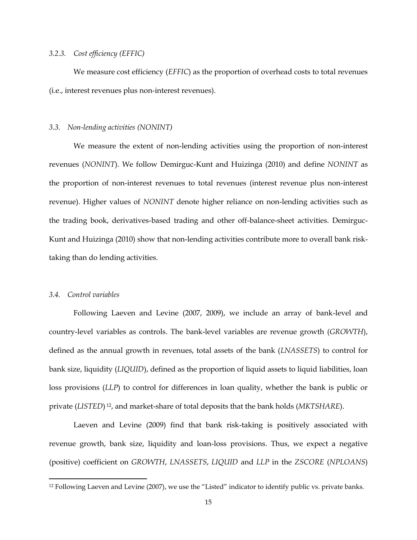### *3.2.3. Cost efficiency (EFFIC)*

We measure cost efficiency (*EFFIC*) as the proportion of overhead costs to total revenues (i.e., interest revenues plus non-interest revenues).

#### *3.3. Non-lending activities (NONINT)*

We measure the extent of non-lending activities using the proportion of non-interest revenues (*NONINT*). We follow Demirguc-Kunt and Huizinga (2010) and define *NONINT* as the proportion of non-interest revenues to total revenues (interest revenue plus non-interest revenue). Higher values of *NONINT* denote higher reliance on non-lending activities such as the trading book, derivatives-based trading and other off-balance-sheet activities. Demirguc-Kunt and Huizinga (2010) show that non-lending activities contribute more to overall bank risktaking than do lending activities.

#### *3.4. Control variables*

l

Following Laeven and Levine (2007, 2009), we include an array of bank-level and country-level variables as controls. The bank-level variables are revenue growth (*GROWTH*), defined as the annual growth in revenues, total assets of the bank (*LNASSETS*) to control for bank size, liquidity (*LIQUID*), defined as the proportion of liquid assets to liquid liabilities, loan loss provisions (*LLP*) to control for differences in loan quality, whether the bank is public or private (*LISTED*) <sup>12</sup>, and market-share of total deposits that the bank holds (*MKTSHARE*).

Laeven and Levine (2009) find that bank risk-taking is positively associated with revenue growth, bank size, liquidity and loan-loss provisions. Thus, we expect a negative (positive) coefficient on *GROWTH*, *LNASSETS*, *LIQUID* and *LLP* in the *ZSCORE* (*NPLOANS*)

<sup>&</sup>lt;sup>12</sup> Following Laeven and Levine (2007), we use the "Listed" indicator to identify public vs. private banks.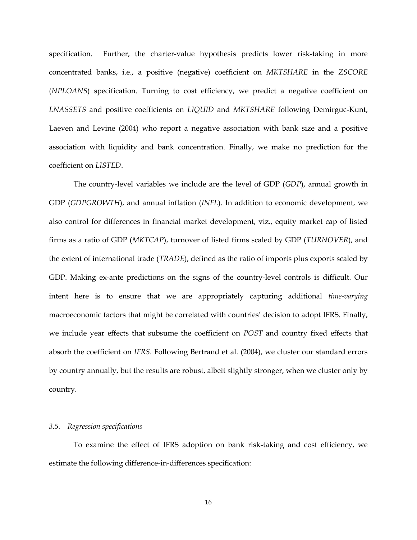specification. Further, the charter-value hypothesis predicts lower risk-taking in more concentrated banks, i.e., a positive (negative) coefficient on *MKTSHARE* in the *ZSCORE* (*NPLOANS*) specification. Turning to cost efficiency, we predict a negative coefficient on *LNASSETS* and positive coefficients on *LIQUID* and *MKTSHARE* following Demirguc-Kunt, Laeven and Levine (2004) who report a negative association with bank size and a positive association with liquidity and bank concentration. Finally, we make no prediction for the coefficient on *LISTED*.

The country-level variables we include are the level of GDP (*GDP*), annual growth in GDP (*GDPGROWTH*), and annual inflation (*INFL*). In addition to economic development, we also control for differences in financial market development, viz., equity market cap of listed firms as a ratio of GDP (*MKTCAP*), turnover of listed firms scaled by GDP (*TURNOVER*), and the extent of international trade (*TRADE*), defined as the ratio of imports plus exports scaled by GDP. Making ex-ante predictions on the signs of the country-level controls is difficult. Our intent here is to ensure that we are appropriately capturing additional *time-varying* macroeconomic factors that might be correlated with countries' decision to adopt IFRS. Finally, we include year effects that subsume the coefficient on *POST* and country fixed effects that absorb the coefficient on *IFRS*. Following Bertrand et al. (2004), we cluster our standard errors by country annually, but the results are robust, albeit slightly stronger, when we cluster only by country.

#### *3.5. Regression specifications*

To examine the effect of IFRS adoption on bank risk-taking and cost efficiency, we estimate the following difference-in-differences specification: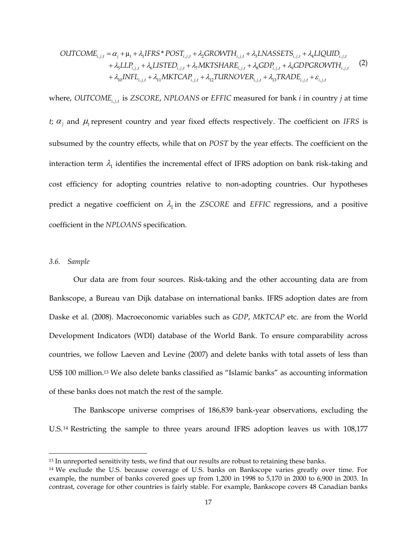$$
\begin{aligned}\n\text{OUTCOME}_{i,j,t} &= \alpha_j + \mu_t + \lambda_1 \text{IFRS}^* \text{POST}_{i,j,t} + \lambda_2 \text{GROVTH}_{i,j,t} + \lambda_3 \text{LNASSETS}_{i,j,t} + \lambda_4 \text{LIQUID}_{i,j,t} \\
&\quad + \lambda_5 \text{LLP}_{i,j,t} + \lambda_6 \text{LISTED}_{i,j,t} + \lambda_7 \text{MKTSHARE}_{i,j,t} + \lambda_8 \text{GDP}_{i,j,t} + \lambda_9 \text{GDPGROVTH}_{i,j,t} \\
&\quad + \lambda_{10} \text{INFL}_{i,j,t} + \lambda_{11} \text{MKTCAP}_{i,j,t} + \lambda_{12} \text{TLRNOVER}_{i,j,t} + \lambda_{13} \text{TRADE}_{i,j,t} + \varepsilon_{i,j,t}\n\end{aligned}\n\tag{2}
$$

 $\alpha_i + \mu_i + \lambda_i JFRS^* POS^T_{i,j,i} + \lambda_i GROVTH_{i,j,i} + \lambda_i JMSSFFS_{i,j,i} + \lambda_i JSLFL_{i,j,i} + \lambda_i JLSTER_{i,j,i} + \lambda_i JLSTER_{i,j,i} + \lambda_i JLSTER_{i,j,i} + \lambda_i JLRTCB_{i,j,i} + \lambda_i JLRTCB_{i,j,i} + \lambda_i JLRTCB_{i,j,i} + \lambda_i JLRTCB_{i,j,i} + \lambda_i JLRTCB_{i,j,i} + \lambda_i JLRTCB_{i,j,i} + \lambda_i JLRTCB_{i,j,i} + \lambda_i JLRTCB_{i,j,i} + \lambda_i JLRTCB_{i,j,i} +$ where, *OUTCOME*<sub>*ii*</sub><sup>*t*</sup> is *ZSCORE*, *NPLOANS* or *EFFIC* measured for bank *i* in country *j* at time *t*;  $\alpha_j$  and  $\mu_t$  represent country and year fixed effects respectively. The coefficient on *IFRS* is subsumed by the country effects, while that on *POST* by the year effects. The coefficient on the interaction term  $\lambda_1$  identifies the incremental effect of IFRS adoption on bank risk-taking and cost efficiency for adopting countries relative to non-adopting countries. Our hypotheses predict a negative coefficient on  $\lambda_1$  in the *ZSCORE* and *EFFIC* regressions, and a positive coefficient in the *NPLOANS* specification.

#### *3.6. Sample*

 $\overline{\phantom{a}}$ 

Our data are from four sources. Risk-taking and the other accounting data are from Bankscope, a Bureau van Dijk database on international banks. IFRS adoption dates are from Daske et al. (2008). Macroeconomic variables such as *GDP*, *MKTCAP* etc. are from the World Development Indicators (WDI) database of the World Bank. To ensure comparability across countries, we follow Laeven and Levine (2007) and delete banks with total assets of less than US\$ 100 million.<sup>13</sup> We also delete banks classified as "Islamic banks" as accounting information of these banks does not match the rest of the sample.

The Bankscope universe comprises of 186,839 bank-year observations, excluding the U.S. <sup>14</sup> Restricting the sample to three years around IFRS adoption leaves us with 108,177

<sup>&</sup>lt;sup>13</sup> In unreported sensitivity tests, we find that our results are robust to retaining these banks.

<sup>14</sup> We exclude the U.S. because coverage of U.S. banks on Bankscope varies greatly over time. For example, the number of banks covered goes up from 1,200 in 1998 to 5,170 in 2000 to 6,900 in 2003. In contrast, coverage for other countries is fairly stable. For example, Bankscope covers 48 Canadian banks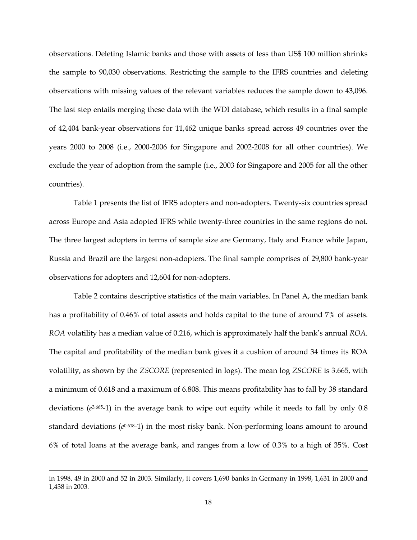observations. Deleting Islamic banks and those with assets of less than US\$ 100 million shrinks the sample to 90,030 observations. Restricting the sample to the IFRS countries and deleting observations with missing values of the relevant variables reduces the sample down to 43,096. The last step entails merging these data with the WDI database, which results in a final sample of 42,404 bank-year observations for 11,462 unique banks spread across 49 countries over the years 2000 to 2008 (i.e., 2000-2006 for Singapore and 2002-2008 for all other countries). We exclude the year of adoption from the sample (i.e., 2003 for Singapore and 2005 for all the other countries).

Table 1 presents the list of IFRS adopters and non-adopters. Twenty-six countries spread across Europe and Asia adopted IFRS while twenty-three countries in the same regions do not. The three largest adopters in terms of sample size are Germany, Italy and France while Japan, Russia and Brazil are the largest non-adopters. The final sample comprises of 29,800 bank-year observations for adopters and 12,604 for non-adopters.

Table 2 contains descriptive statistics of the main variables. In Panel A, the median bank has a profitability of 0.46% of total assets and holds capital to the tune of around 7% of assets. *ROA* volatility has a median value of 0.216, which is approximately half the bank's annual *ROA*. The capital and profitability of the median bank gives it a cushion of around 34 times its ROA volatility, as shown by the *ZSCORE* (represented in logs). The mean log *ZSCORE* is 3.665, with a minimum of 0.618 and a maximum of 6.808. This means profitability has to fall by 38 standard deviations (*e* 3.665-1) in the average bank to wipe out equity while it needs to fall by only 0.8 standard deviations (*e* 0.618-1) in the most risky bank. Non-performing loans amount to around 6% of total loans at the average bank, and ranges from a low of 0.3% to a high of 35%. Cost

 $\overline{a}$ 

in 1998, 49 in 2000 and 52 in 2003. Similarly, it covers 1,690 banks in Germany in 1998, 1,631 in 2000 and 1,438 in 2003.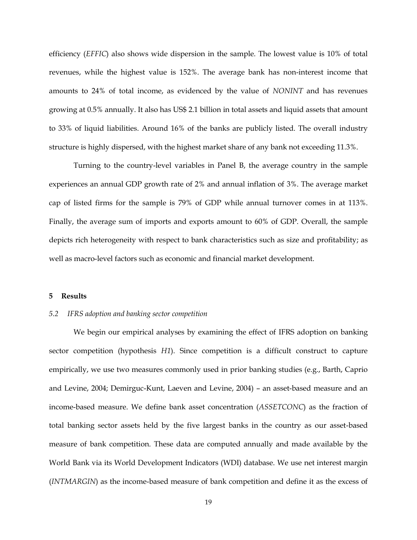efficiency (*EFFIC*) also shows wide dispersion in the sample. The lowest value is 10% of total revenues, while the highest value is 152%. The average bank has non-interest income that amounts to 24% of total income, as evidenced by the value of *NONINT* and has revenues growing at 0.5% annually. It also has US\$ 2.1 billion in total assets and liquid assets that amount to 33% of liquid liabilities. Around 16% of the banks are publicly listed. The overall industry structure is highly dispersed, with the highest market share of any bank not exceeding 11.3%.

Turning to the country-level variables in Panel B, the average country in the sample experiences an annual GDP growth rate of 2% and annual inflation of 3%. The average market cap of listed firms for the sample is 79% of GDP while annual turnover comes in at 113%. Finally, the average sum of imports and exports amount to 60% of GDP. Overall, the sample depicts rich heterogeneity with respect to bank characteristics such as size and profitability; as well as macro-level factors such as economic and financial market development.

### **5 Results**

#### *5.2 IFRS adoption and banking sector competition*

We begin our empirical analyses by examining the effect of IFRS adoption on banking sector competition (hypothesis *H1*). Since competition is a difficult construct to capture empirically, we use two measures commonly used in prior banking studies (e.g., Barth, Caprio and Levine, 2004; Demirguc-Kunt, Laeven and Levine, 2004) – an asset-based measure and an income-based measure. We define bank asset concentration (*ASSETCONC*) as the fraction of total banking sector assets held by the five largest banks in the country as our asset-based measure of bank competition. These data are computed annually and made available by the World Bank via its World Development Indicators (WDI) database. We use net interest margin (*INTMARGIN*) as the income-based measure of bank competition and define it as the excess of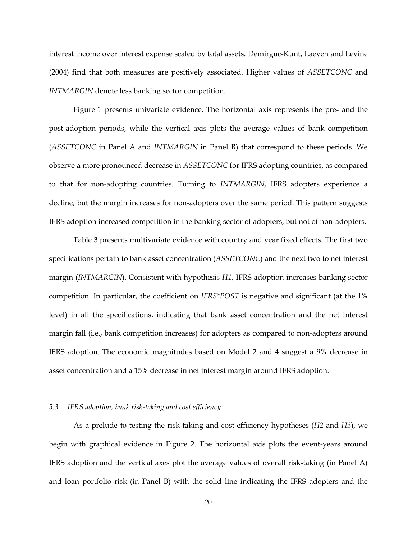interest income over interest expense scaled by total assets. Demirguc-Kunt, Laeven and Levine (2004) find that both measures are positively associated. Higher values of *ASSETCONC* and *INTMARGIN* denote less banking sector competition.

Figure 1 presents univariate evidence. The horizontal axis represents the pre- and the post-adoption periods, while the vertical axis plots the average values of bank competition (*ASSETCONC* in Panel A and *INTMARGIN* in Panel B) that correspond to these periods. We observe a more pronounced decrease in *ASSETCONC* for IFRS adopting countries, as compared to that for non-adopting countries. Turning to *INTMARGIN*, IFRS adopters experience a decline, but the margin increases for non-adopters over the same period. This pattern suggests IFRS adoption increased competition in the banking sector of adopters, but not of non-adopters.

Table 3 presents multivariate evidence with country and year fixed effects. The first two specifications pertain to bank asset concentration (*ASSETCONC*) and the next two to net interest margin (*INTMARGIN*). Consistent with hypothesis *H1*, IFRS adoption increases banking sector competition. In particular, the coefficient on *IFRS\*POST* is negative and significant (at the 1% level) in all the specifications, indicating that bank asset concentration and the net interest margin fall (i.e., bank competition increases) for adopters as compared to non-adopters around IFRS adoption. The economic magnitudes based on Model 2 and 4 suggest a 9% decrease in asset concentration and a 15% decrease in net interest margin around IFRS adoption.

#### *5.3 IFRS adoption, bank risk-taking and cost efficiency*

As a prelude to testing the risk-taking and cost efficiency hypotheses (*H2* and *H3*), we begin with graphical evidence in Figure 2. The horizontal axis plots the event-years around IFRS adoption and the vertical axes plot the average values of overall risk-taking (in Panel A) and loan portfolio risk (in Panel B) with the solid line indicating the IFRS adopters and the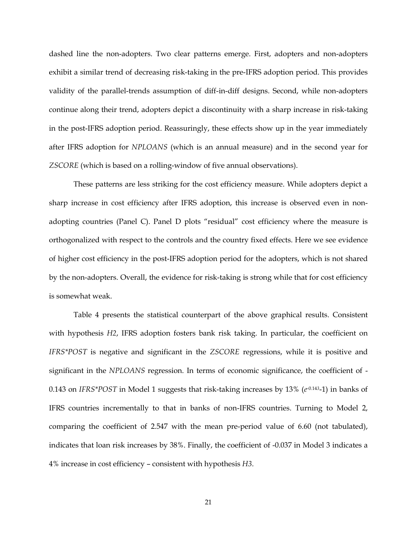dashed line the non-adopters. Two clear patterns emerge. First, adopters and non-adopters exhibit a similar trend of decreasing risk-taking in the pre-IFRS adoption period. This provides validity of the parallel-trends assumption of diff-in-diff designs. Second, while non-adopters continue along their trend, adopters depict a discontinuity with a sharp increase in risk-taking in the post-IFRS adoption period. Reassuringly, these effects show up in the year immediately after IFRS adoption for *NPLOANS* (which is an annual measure) and in the second year for *ZSCORE* (which is based on a rolling-window of five annual observations).

These patterns are less striking for the cost efficiency measure. While adopters depict a sharp increase in cost efficiency after IFRS adoption, this increase is observed even in nonadopting countries (Panel C). Panel D plots "residual" cost efficiency where the measure is orthogonalized with respect to the controls and the country fixed effects. Here we see evidence of higher cost efficiency in the post-IFRS adoption period for the adopters, which is not shared by the non-adopters. Overall, the evidence for risk-taking is strong while that for cost efficiency is somewhat weak.

Table 4 presents the statistical counterpart of the above graphical results. Consistent with hypothesis *H2*, IFRS adoption fosters bank risk taking. In particular, the coefficient on *IFRS\*POST* is negative and significant in the *ZSCORE* regressions, while it is positive and significant in the *NPLOANS* regression. In terms of economic significance, the coefficient of - 0.143 on *IFRS\*POST* in Model 1 suggests that risk-taking increases by 13% (*e -*0.14*<sup>3</sup>*-1) in banks of IFRS countries incrementally to that in banks of non-IFRS countries. Turning to Model 2, comparing the coefficient of 2.547 with the mean pre-period value of 6.60 (not tabulated), indicates that loan risk increases by 38%. Finally, the coefficient of -0.037 in Model 3 indicates a 4% increase in cost efficiency – consistent with hypothesis *H3*.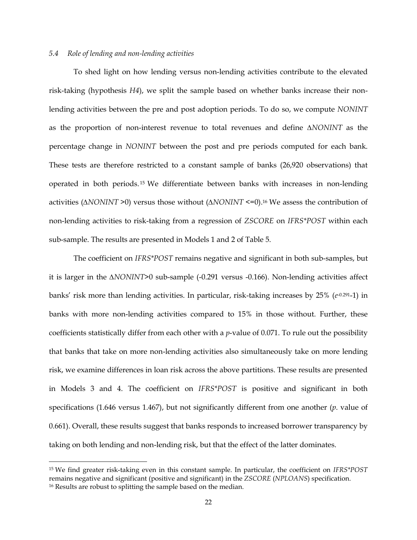#### *5.4 Role of lending and non-lending activities*

 $\overline{\phantom{a}}$ 

To shed light on how lending versus non-lending activities contribute to the elevated risk-taking (hypothesis *H4*), we split the sample based on whether banks increase their nonlending activities between the pre and post adoption periods. To do so, we compute *NONINT* as the proportion of non-interest revenue to total revenues and define *∆NONINT* as the percentage change in *NONINT* between the post and pre periods computed for each bank. These tests are therefore restricted to a constant sample of banks (26,920 observations) that operated in both periods. <sup>15</sup> We differentiate between banks with increases in non-lending activities (*∆NONINT* >0) versus those without (*∆NONINT* <=0).<sup>16</sup> We assess the contribution of non-lending activities to risk-taking from a regression of *ZSCORE* on *IFRS\*POST* within each sub-sample. The results are presented in Models 1 and 2 of Table 5.

The coefficient on *IFRS\*POST* remains negative and significant in both sub-samples, but it is larger in the *∆NONINT*>0 sub-sample (-0.291 versus -0.166). Non-lending activities affect banks' risk more than lending activities. In particular, risk-taking increases by 25% (*e*<sup>-0.291</sup>-1) in banks with more non-lending activities compared to 15% in those without. Further, these coefficients statistically differ from each other with a *p*-value of 0.071. To rule out the possibility that banks that take on more non-lending activities also simultaneously take on more lending risk, we examine differences in loan risk across the above partitions. These results are presented in Models 3 and 4. The coefficient on *IFRS\*POST* is positive and significant in both specifications (1.646 versus 1.467), but not significantly different from one another (*p*. value of 0.661). Overall, these results suggest that banks responds to increased borrower transparency by taking on both lending and non-lending risk, but that the effect of the latter dominates.

<sup>15</sup> We find greater risk-taking even in this constant sample. In particular, the coefficient on *IFRS\*POST* remains negative and significant (positive and significant) in the *ZSCORE* (*NPLOANS*) specification. <sup>16</sup> Results are robust to splitting the sample based on the median.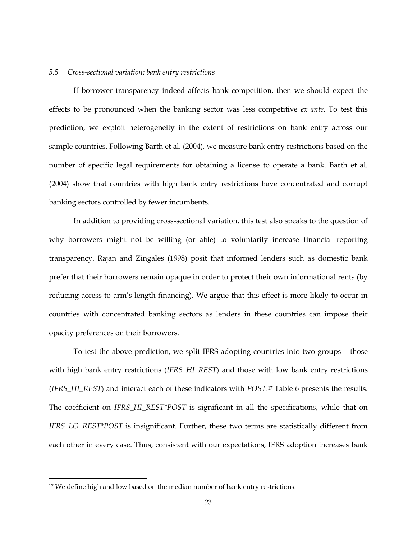#### *5.5 Cross-sectional variation: bank entry restrictions*

If borrower transparency indeed affects bank competition, then we should expect the effects to be pronounced when the banking sector was less competitive *ex ante*. To test this prediction, we exploit heterogeneity in the extent of restrictions on bank entry across our sample countries. Following Barth et al. (2004), we measure bank entry restrictions based on the number of specific legal requirements for obtaining a license to operate a bank. Barth et al. (2004) show that countries with high bank entry restrictions have concentrated and corrupt banking sectors controlled by fewer incumbents.

In addition to providing cross-sectional variation, this test also speaks to the question of why borrowers might not be willing (or able) to voluntarily increase financial reporting transparency. Rajan and Zingales (1998) posit that informed lenders such as domestic bank prefer that their borrowers remain opaque in order to protect their own informational rents (by reducing access to arm's-length financing). We argue that this effect is more likely to occur in countries with concentrated banking sectors as lenders in these countries can impose their opacity preferences on their borrowers.

To test the above prediction, we split IFRS adopting countries into two groups – those with high bank entry restrictions (*IFRS\_HI\_REST*) and those with low bank entry restrictions (*IFRS\_HI\_REST*) and interact each of these indicators with *POST*. <sup>17</sup> Table 6 presents the results. The coefficient on *IFRS\_HI\_REST\*POST* is significant in all the specifications, while that on *IFRS\_LO\_REST\*POST* is insignificant. Further, these two terms are statistically different from each other in every case. Thus, consistent with our expectations, IFRS adoption increases bank

l

<sup>&</sup>lt;sup>17</sup> We define high and low based on the median number of bank entry restrictions.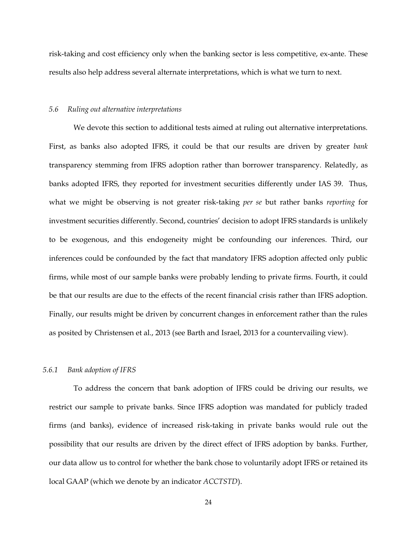risk-taking and cost efficiency only when the banking sector is less competitive, ex-ante. These results also help address several alternate interpretations, which is what we turn to next.

#### *5.6 Ruling out alternative interpretations*

We devote this section to additional tests aimed at ruling out alternative interpretations. First, as banks also adopted IFRS, it could be that our results are driven by greater *bank* transparency stemming from IFRS adoption rather than borrower transparency. Relatedly, as banks adopted IFRS, they reported for investment securities differently under IAS 39. Thus, what we might be observing is not greater risk-taking *per se* but rather banks *reporting* for investment securities differently. Second, countries' decision to adopt IFRS standards is unlikely to be exogenous, and this endogeneity might be confounding our inferences. Third, our inferences could be confounded by the fact that mandatory IFRS adoption affected only public firms, while most of our sample banks were probably lending to private firms. Fourth, it could be that our results are due to the effects of the recent financial crisis rather than IFRS adoption. Finally, our results might be driven by concurrent changes in enforcement rather than the rules as posited by Christensen et al., 2013 (see Barth and Israel, 2013 for a countervailing view).

#### *5.6.1 Bank adoption of IFRS*

To address the concern that bank adoption of IFRS could be driving our results, we restrict our sample to private banks. Since IFRS adoption was mandated for publicly traded firms (and banks), evidence of increased risk-taking in private banks would rule out the possibility that our results are driven by the direct effect of IFRS adoption by banks. Further, our data allow us to control for whether the bank chose to voluntarily adopt IFRS or retained its local GAAP (which we denote by an indicator *ACCTSTD*).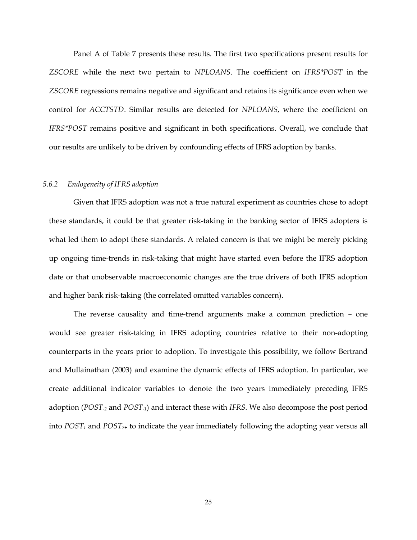Panel A of Table 7 presents these results. The first two specifications present results for *ZSCORE* while the next two pertain to *NPLOANS*. The coefficient on *IFRS\*POST* in the *ZSCORE* regressions remains negative and significant and retains its significance even when we control for *ACCTSTD*. Similar results are detected for *NPLOANS*, where the coefficient on *IFRS\*POST* remains positive and significant in both specifications. Overall, we conclude that our results are unlikely to be driven by confounding effects of IFRS adoption by banks.

### *5.6.2 Endogeneity of IFRS adoption*

Given that IFRS adoption was not a true natural experiment as countries chose to adopt these standards, it could be that greater risk-taking in the banking sector of IFRS adopters is what led them to adopt these standards. A related concern is that we might be merely picking up ongoing time-trends in risk-taking that might have started even before the IFRS adoption date or that unobservable macroeconomic changes are the true drivers of both IFRS adoption and higher bank risk-taking (the correlated omitted variables concern).

The reverse causality and time-trend arguments make a common prediction – one would see greater risk-taking in IFRS adopting countries relative to their non-adopting counterparts in the years prior to adoption. To investigate this possibility, we follow Bertrand and Mullainathan (2003) and examine the dynamic effects of IFRS adoption. In particular, we create additional indicator variables to denote the two years immediately preceding IFRS adoption (*POST-2* and *POST-1*) and interact these with *IFRS*. We also decompose the post period into *POST<sup>1</sup>* and *POST2+* to indicate the year immediately following the adopting year versus all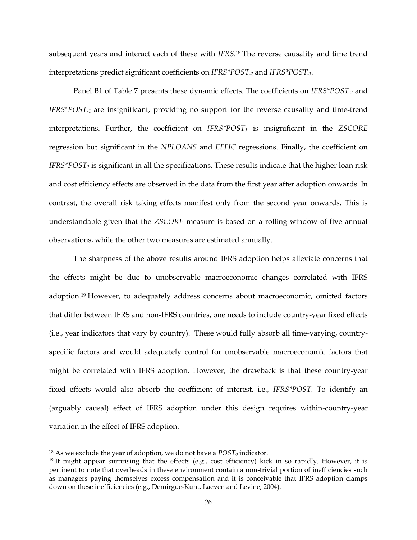subsequent years and interact each of these with *IFRS*. <sup>18</sup> The reverse causality and time trend interpretations predict significant coefficients on *IFRS\*POST-2* and *IFRS\*POST-1.*

Panel B1 of Table 7 presents these dynamic effects. The coefficients on *IFRS\*POST-2* and *IFRS\*POST-1* are insignificant, providing no support for the reverse causality and time-trend interpretations. Further, the coefficient on *IFRS\*POST<sup>1</sup>* is insignificant in the *ZSCORE* regression but significant in the *NPLOANS* and *EFFIC* regressions. Finally, the coefficient on *IFRS\*POST<sup>2</sup>* is significant in all the specifications. These results indicate that the higher loan risk and cost efficiency effects are observed in the data from the first year after adoption onwards. In contrast, the overall risk taking effects manifest only from the second year onwards. This is understandable given that the *ZSCORE* measure is based on a rolling-window of five annual observations, while the other two measures are estimated annually.

The sharpness of the above results around IFRS adoption helps alleviate concerns that the effects might be due to unobservable macroeconomic changes correlated with IFRS adoption.<sup>19</sup> However, to adequately address concerns about macroeconomic, omitted factors that differ between IFRS and non-IFRS countries, one needs to include country-year fixed effects (i.e., year indicators that vary by country). These would fully absorb all time-varying, countryspecific factors and would adequately control for unobservable macroeconomic factors that might be correlated with IFRS adoption. However, the drawback is that these country-year fixed effects would also absorb the coefficient of interest, i.e., *IFRS\*POST*. To identify an (arguably causal) effect of IFRS adoption under this design requires within-country-year variation in the effect of IFRS adoption.

 $\overline{\phantom{a}}$ 

<sup>&</sup>lt;sup>18</sup> As we exclude the year of adoption, we do not have a  $POST_0$  indicator.

<sup>&</sup>lt;sup>19</sup> It might appear surprising that the effects (e.g., cost efficiency) kick in so rapidly. However, it is pertinent to note that overheads in these environment contain a non-trivial portion of inefficiencies such as managers paying themselves excess compensation and it is conceivable that IFRS adoption clamps down on these inefficiencies (e.g., Demirguc-Kunt, Laeven and Levine, 2004).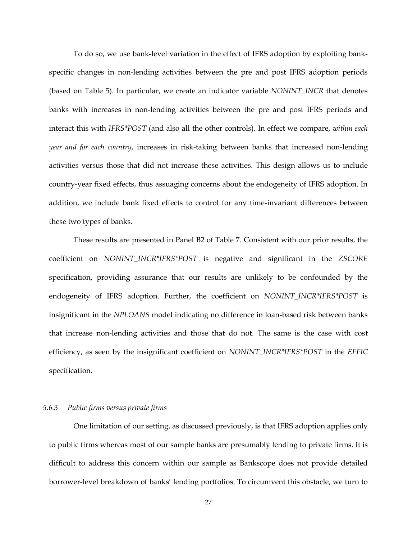To do so, we use bank-level variation in the effect of IFRS adoption by exploiting bankspecific changes in non-lending activities between the pre and post IFRS adoption periods (based on Table 5). In particular, we create an indicator variable *NONINT\_INCR* that denotes banks with increases in non-lending activities between the pre and post IFRS periods and interact this with *IFRS\*POST* (and also all the other controls). In effect we compare, *within each year and for each country*, increases in risk-taking between banks that increased non-lending activities versus those that did not increase these activities. This design allows us to include country-year fixed effects, thus assuaging concerns about the endogeneity of IFRS adoption. In addition, we include bank fixed effects to control for any time-invariant differences between these two types of banks.

These results are presented in Panel B2 of Table 7. Consistent with our prior results, the coefficient on *NONINT\_INCR\*IFRS\*POST* is negative and significant in the *ZSCORE* specification, providing assurance that our results are unlikely to be confounded by the endogeneity of IFRS adoption. Further, the coefficient on *NONINT\_INCR\*IFRS\*POST* is insignificant in the *NPLOANS* model indicating no difference in loan-based risk between banks that increase non-lending activities and those that do not. The same is the case with cost efficiency, as seen by the insignificant coefficient on *NONINT\_INCR\*IFRS\*POST* in the *EFFIC* specification.

#### *5.6.3 Public firms versus private firms*

One limitation of our setting, as discussed previously, is that IFRS adoption applies only to public firms whereas most of our sample banks are presumably lending to private firms. It is difficult to address this concern within our sample as Bankscope does not provide detailed borrower-level breakdown of banks' lending portfolios. To circumvent this obstacle, we turn to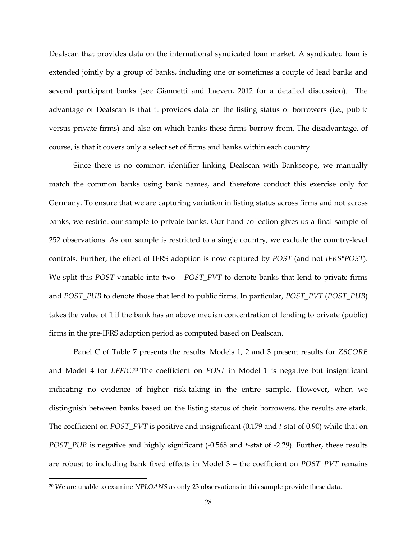Dealscan that provides data on the international syndicated loan market. A syndicated loan is extended jointly by a group of banks, including one or sometimes a couple of lead banks and several participant banks (see Giannetti and Laeven, 2012 for a detailed discussion). The advantage of Dealscan is that it provides data on the listing status of borrowers (i.e., public versus private firms) and also on which banks these firms borrow from. The disadvantage, of course, is that it covers only a select set of firms and banks within each country.

Since there is no common identifier linking Dealscan with Bankscope, we manually match the common banks using bank names, and therefore conduct this exercise only for Germany. To ensure that we are capturing variation in listing status across firms and not across banks, we restrict our sample to private banks. Our hand-collection gives us a final sample of 252 observations. As our sample is restricted to a single country, we exclude the country-level controls. Further, the effect of IFRS adoption is now captured by *POST* (and not *IFRS\*POST*). We split this *POST* variable into two – *POST\_PVT* to denote banks that lend to private firms and *POST\_PUB* to denote those that lend to public firms. In particular, *POST\_PVT* (*POST\_PUB*) takes the value of 1 if the bank has an above median concentration of lending to private (public) firms in the pre-IFRS adoption period as computed based on Dealscan.

Panel C of Table 7 presents the results. Models 1, 2 and 3 present results for *ZSCORE* and Model 4 for *EFFIC*. <sup>20</sup> The coefficient on *POST* in Model 1 is negative but insignificant indicating no evidence of higher risk-taking in the entire sample. However, when we distinguish between banks based on the listing status of their borrowers, the results are stark. The coefficient on *POST\_PVT* is positive and insignificant (0.179 and *t*-stat of 0.90) while that on *POST\_PUB* is negative and highly significant (-0.568 and *t*-stat of -2.29). Further, these results are robust to including bank fixed effects in Model 3 – the coefficient on *POST\_PVT* remains

l

<sup>20</sup> We are unable to examine *NPLOANS* as only 23 observations in this sample provide these data.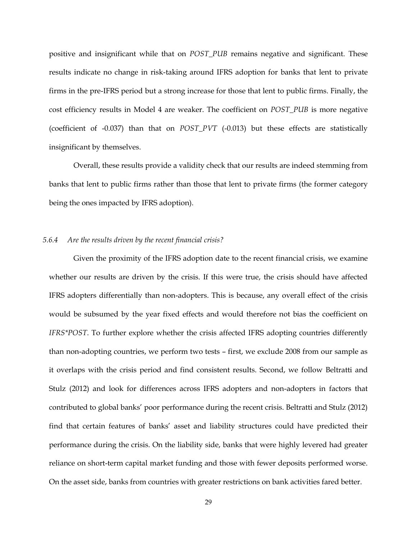positive and insignificant while that on *POST\_PUB* remains negative and significant. These results indicate no change in risk-taking around IFRS adoption for banks that lent to private firms in the pre-IFRS period but a strong increase for those that lent to public firms. Finally, the cost efficiency results in Model 4 are weaker. The coefficient on *POST\_PUB* is more negative (coefficient of -0.037) than that on *POST\_PVT* (-0.013) but these effects are statistically insignificant by themselves.

Overall, these results provide a validity check that our results are indeed stemming from banks that lent to public firms rather than those that lent to private firms (the former category being the ones impacted by IFRS adoption).

### *5.6.4 Are the results driven by the recent financial crisis?*

Given the proximity of the IFRS adoption date to the recent financial crisis, we examine whether our results are driven by the crisis. If this were true, the crisis should have affected IFRS adopters differentially than non-adopters. This is because, any overall effect of the crisis would be subsumed by the year fixed effects and would therefore not bias the coefficient on *IFRS\*POST*. To further explore whether the crisis affected IFRS adopting countries differently than non-adopting countries, we perform two tests – first, we exclude 2008 from our sample as it overlaps with the crisis period and find consistent results. Second, we follow Beltratti and Stulz (2012) and look for differences across IFRS adopters and non-adopters in factors that contributed to global banks' poor performance during the recent crisis. Beltratti and Stulz (2012) find that certain features of banks' asset and liability structures could have predicted their performance during the crisis. On the liability side, banks that were highly levered had greater reliance on short-term capital market funding and those with fewer deposits performed worse. On the asset side, banks from countries with greater restrictions on bank activities fared better.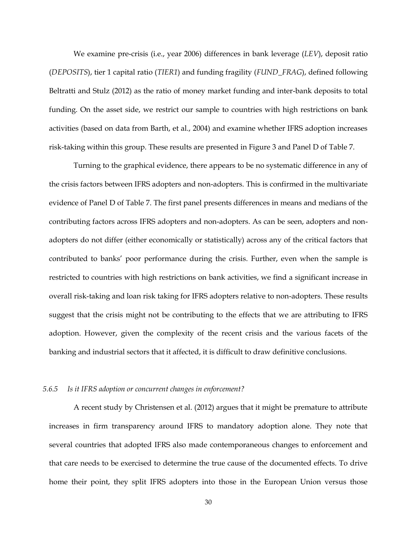We examine pre-crisis (i.e., year 2006) differences in bank leverage (*LEV*), deposit ratio (*DEPOSITS*), tier 1 capital ratio (*TIER1*) and funding fragility (*FUND\_FRAG*), defined following Beltratti and Stulz (2012) as the ratio of money market funding and inter-bank deposits to total funding. On the asset side, we restrict our sample to countries with high restrictions on bank activities (based on data from Barth, et al., 2004) and examine whether IFRS adoption increases risk-taking within this group. These results are presented in Figure 3 and Panel D of Table 7.

Turning to the graphical evidence, there appears to be no systematic difference in any of the crisis factors between IFRS adopters and non-adopters. This is confirmed in the multivariate evidence of Panel D of Table 7. The first panel presents differences in means and medians of the contributing factors across IFRS adopters and non-adopters. As can be seen, adopters and nonadopters do not differ (either economically or statistically) across any of the critical factors that contributed to banks' poor performance during the crisis. Further, even when the sample is restricted to countries with high restrictions on bank activities, we find a significant increase in overall risk-taking and loan risk taking for IFRS adopters relative to non-adopters. These results suggest that the crisis might not be contributing to the effects that we are attributing to IFRS adoption. However, given the complexity of the recent crisis and the various facets of the banking and industrial sectors that it affected, it is difficult to draw definitive conclusions.

#### *5.6.5 Is it IFRS adoption or concurrent changes in enforcement?*

A recent study by Christensen et al. (2012) argues that it might be premature to attribute increases in firm transparency around IFRS to mandatory adoption alone. They note that several countries that adopted IFRS also made contemporaneous changes to enforcement and that care needs to be exercised to determine the true cause of the documented effects. To drive home their point, they split IFRS adopters into those in the European Union versus those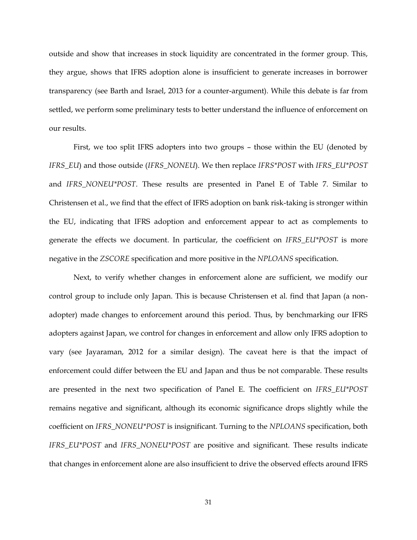outside and show that increases in stock liquidity are concentrated in the former group. This, they argue, shows that IFRS adoption alone is insufficient to generate increases in borrower transparency (see Barth and Israel, 2013 for a counter-argument). While this debate is far from settled, we perform some preliminary tests to better understand the influence of enforcement on our results.

First, we too split IFRS adopters into two groups – those within the EU (denoted by *IFRS\_EU*) and those outside (*IFRS\_NONEU*). We then replace *IFRS\*POST* with *IFRS\_EU\*POST* and *IFRS\_NONEU\*POST*. These results are presented in Panel E of Table 7. Similar to Christensen et al., we find that the effect of IFRS adoption on bank risk-taking is stronger within the EU, indicating that IFRS adoption and enforcement appear to act as complements to generate the effects we document. In particular, the coefficient on *IFRS\_EU\*POST* is more negative in the *ZSCORE* specification and more positive in the *NPLOANS* specification.

Next, to verify whether changes in enforcement alone are sufficient, we modify our control group to include only Japan. This is because Christensen et al. find that Japan (a nonadopter) made changes to enforcement around this period. Thus, by benchmarking our IFRS adopters against Japan, we control for changes in enforcement and allow only IFRS adoption to vary (see Jayaraman, 2012 for a similar design). The caveat here is that the impact of enforcement could differ between the EU and Japan and thus be not comparable. These results are presented in the next two specification of Panel E. The coefficient on *IFRS\_EU\*POST* remains negative and significant, although its economic significance drops slightly while the coefficient on *IFRS\_NONEU\*POST* is insignificant. Turning to the *NPLOANS* specification, both *IFRS\_EU\*POST* and *IFRS\_NONEU\*POST* are positive and significant. These results indicate that changes in enforcement alone are also insufficient to drive the observed effects around IFRS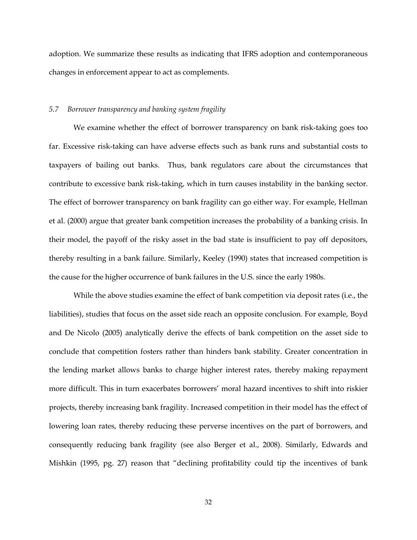adoption. We summarize these results as indicating that IFRS adoption and contemporaneous changes in enforcement appear to act as complements.

#### *5.7 Borrower transparency and banking system fragility*

We examine whether the effect of borrower transparency on bank risk-taking goes too far. Excessive risk-taking can have adverse effects such as bank runs and substantial costs to taxpayers of bailing out banks. Thus, bank regulators care about the circumstances that contribute to excessive bank risk-taking, which in turn causes instability in the banking sector. The effect of borrower transparency on bank fragility can go either way. For example, Hellman et al. (2000) argue that greater bank competition increases the probability of a banking crisis. In their model, the payoff of the risky asset in the bad state is insufficient to pay off depositors, thereby resulting in a bank failure. Similarly, Keeley (1990) states that increased competition is the cause for the higher occurrence of bank failures in the U.S. since the early 1980s.

While the above studies examine the effect of bank competition via deposit rates (i.e., the liabilities), studies that focus on the asset side reach an opposite conclusion. For example, Boyd and De Nicolo (2005) analytically derive the effects of bank competition on the asset side to conclude that competition fosters rather than hinders bank stability. Greater concentration in the lending market allows banks to charge higher interest rates, thereby making repayment more difficult. This in turn exacerbates borrowers' moral hazard incentives to shift into riskier projects, thereby increasing bank fragility. Increased competition in their model has the effect of lowering loan rates, thereby reducing these perverse incentives on the part of borrowers, and consequently reducing bank fragility (see also Berger et al., 2008). Similarly, Edwards and Mishkin (1995, pg. 27) reason that "declining profitability could tip the incentives of bank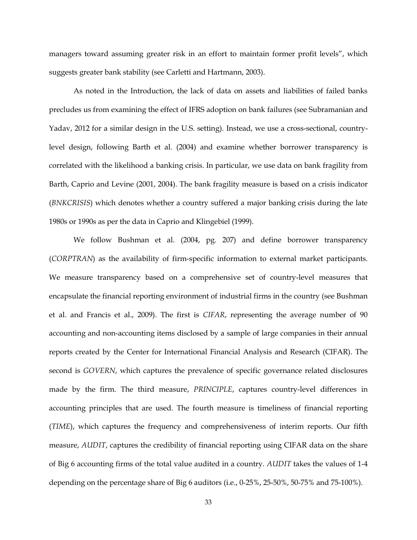managers toward assuming greater risk in an effort to maintain former profit levels", which suggests greater bank stability (see Carletti and Hartmann, 2003).

As noted in the Introduction, the lack of data on assets and liabilities of failed banks precludes us from examining the effect of IFRS adoption on bank failures (see Subramanian and Yadav, 2012 for a similar design in the U.S. setting). Instead, we use a cross-sectional, countrylevel design, following Barth et al. (2004) and examine whether borrower transparency is correlated with the likelihood a banking crisis. In particular, we use data on bank fragility from Barth, Caprio and Levine (2001, 2004). The bank fragility measure is based on a crisis indicator (*BNKCRISIS*) which denotes whether a country suffered a major banking crisis during the late 1980s or 1990s as per the data in Caprio and Klingebiel (1999).

We follow Bushman et al. (2004, pg. 207) and define borrower transparency (*CORPTRAN*) as the availability of firm-specific information to external market participants. We measure transparency based on a comprehensive set of country-level measures that encapsulate the financial reporting environment of industrial firms in the country (see Bushman et al. and Francis et al., 2009). The first is *CIFAR*, representing the average number of 90 accounting and non-accounting items disclosed by a sample of large companies in their annual reports created by the Center for International Financial Analysis and Research (CIFAR). The second is *GOVERN*, which captures the prevalence of specific governance related disclosures made by the firm. The third measure, *PRINCIPLE*, captures country-level differences in accounting principles that are used. The fourth measure is timeliness of financial reporting (*TIME*), which captures the frequency and comprehensiveness of interim reports. Our fifth measure, *AUDIT*, captures the credibility of financial reporting using CIFAR data on the share of Big 6 accounting firms of the total value audited in a country. *AUDIT* takes the values of 1-4 depending on the percentage share of Big 6 auditors (i.e., 0-25%, 25-50%, 50-75% and 75-100%).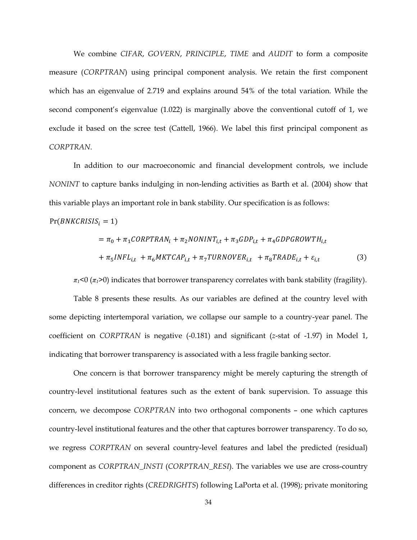We combine *CIFAR*, *GOVERN*, *PRINCIPLE*, *TIME* and *AUDIT* to form a composite measure (*CORPTRAN*) using principal component analysis. We retain the first component which has an eigenvalue of 2.719 and explains around 54% of the total variation. While the second component's eigenvalue (1.022) is marginally above the conventional cutoff of 1, we exclude it based on the scree test (Cattell, 1966). We label this first principal component as *CORPTRAN*.

In addition to our macroeconomic and financial development controls, we include *NONINT* to capture banks indulging in non-lending activities as Barth et al. (2004) show that this variable plays an important role in bank stability. Our specification is as follows:

$$
Pr(BNKCRISIS_i=1)
$$

$$
= \pi_0 + \pi_1 CORPTRAN_i + \pi_2 NONINT_{i,t} + \pi_3 GDP_{i,t} + \pi_4 GDPGROWTH_{i,t}
$$

$$
+ \pi_5 INFL_{i,t} + \pi_6 MKTCAP_{i,t} + \pi_7 TURNOVER_{i,t} + \pi_8 TRADE_{i,t} + \varepsilon_{i,t}
$$
(3)

 $\pi$ <sup>1</sup><0 ( $\pi$ <sup>2</sup>) indicates that borrower transparency correlates with bank stability (fragility).

Table 8 presents these results. As our variables are defined at the country level with some depicting intertemporal variation, we collapse our sample to a country-year panel. The coefficient on *CORPTRAN* is negative (-0.181) and significant (*z*-stat of -1.97) in Model 1, indicating that borrower transparency is associated with a less fragile banking sector.

One concern is that borrower transparency might be merely capturing the strength of country-level institutional features such as the extent of bank supervision. To assuage this concern, we decompose *CORPTRAN* into two orthogonal components – one which captures country-level institutional features and the other that captures borrower transparency. To do so, we regress *CORPTRAN* on several country-level features and label the predicted (residual) component as *CORPTRAN\_INSTI* (*CORPTRAN\_RESI*). The variables we use are cross-country differences in creditor rights (*CREDRIGHTS*) following LaPorta et al. (1998); private monitoring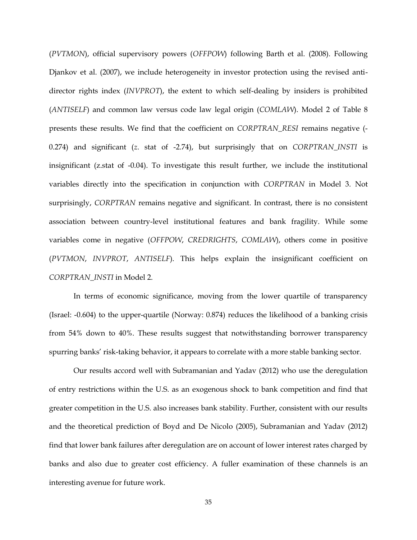(*PVTMON*), official supervisory powers (*OFFPOW*) following Barth et al. (2008). Following Djankov et al. (2007), we include heterogeneity in investor protection using the revised antidirector rights index (*INVPROT*), the extent to which self-dealing by insiders is prohibited (*ANTISELF*) and common law versus code law legal origin (*COMLAW*). Model 2 of Table 8 presents these results. We find that the coefficient on *CORPTRAN\_RESI* remains negative (- 0.274) and significant (*z*. stat of -2.74), but surprisingly that on *CORPTRAN\_INSTI* is insignificant (z.stat of -0.04). To investigate this result further, we include the institutional variables directly into the specification in conjunction with *CORPTRAN* in Model 3. Not surprisingly, *CORPTRAN* remains negative and significant. In contrast, there is no consistent association between country-level institutional features and bank fragility. While some variables come in negative (*OFFPOW*, *CREDRIGHTS*, *COMLAW*), others come in positive (*PVTMON*, *INVPROT*, *ANTISELF*). This helps explain the insignificant coefficient on *CORPTRAN\_INSTI* in Model 2.

In terms of economic significance, moving from the lower quartile of transparency (Israel: -0.604) to the upper-quartile (Norway: 0.874) reduces the likelihood of a banking crisis from 54% down to 40%. These results suggest that notwithstanding borrower transparency spurring banks' risk-taking behavior, it appears to correlate with a more stable banking sector.

Our results accord well with Subramanian and Yadav (2012) who use the deregulation of entry restrictions within the U.S. as an exogenous shock to bank competition and find that greater competition in the U.S. also increases bank stability. Further, consistent with our results and the theoretical prediction of Boyd and De Nicolo (2005), Subramanian and Yadav (2012) find that lower bank failures after deregulation are on account of lower interest rates charged by banks and also due to greater cost efficiency. A fuller examination of these channels is an interesting avenue for future work.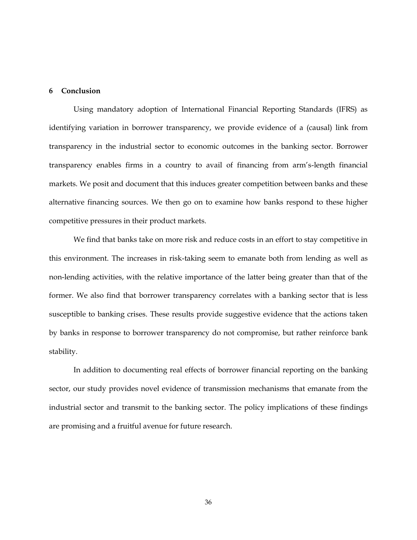#### **6 Conclusion**

Using mandatory adoption of International Financial Reporting Standards (IFRS) as identifying variation in borrower transparency, we provide evidence of a (causal) link from transparency in the industrial sector to economic outcomes in the banking sector. Borrower transparency enables firms in a country to avail of financing from arm's-length financial markets. We posit and document that this induces greater competition between banks and these alternative financing sources. We then go on to examine how banks respond to these higher competitive pressures in their product markets.

We find that banks take on more risk and reduce costs in an effort to stay competitive in this environment. The increases in risk-taking seem to emanate both from lending as well as non-lending activities, with the relative importance of the latter being greater than that of the former. We also find that borrower transparency correlates with a banking sector that is less susceptible to banking crises. These results provide suggestive evidence that the actions taken by banks in response to borrower transparency do not compromise, but rather reinforce bank stability.

In addition to documenting real effects of borrower financial reporting on the banking sector, our study provides novel evidence of transmission mechanisms that emanate from the industrial sector and transmit to the banking sector. The policy implications of these findings are promising and a fruitful avenue for future research.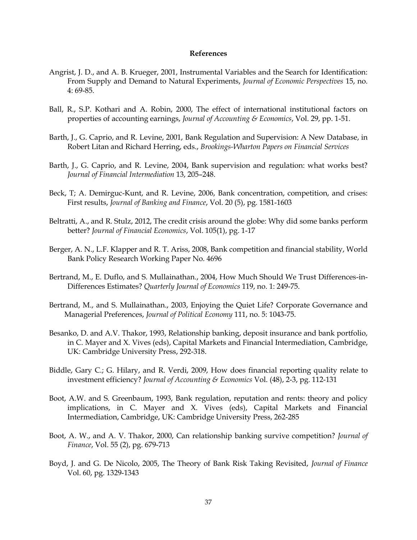#### **References**

- Angrist, J. D., and A. B. Krueger, 2001, Instrumental Variables and the Search for Identification: From Supply and Demand to Natural Experiments, *Journal of Economic Perspectives* 15, no. 4: 69-85.
- Ball, R., S.P. Kothari and A. Robin, 2000, The effect of international institutional factors on properties of accounting earnings, *Journal of Accounting & Economics*, Vol. 29, pp. 1-51.
- Barth, J., G. Caprio, and R. Levine, 2001, Bank Regulation and Supervision: A New Database, in Robert Litan and Richard Herring, eds., *Brookings-Wharton Papers on Financial Services*
- Barth, J., G. Caprio, and R. Levine, 2004, Bank supervision and regulation: what works best? *Journal of Financial Intermediation* 13, 205–248.
- Beck, T; A. Demirguc-Kunt, and R. Levine, 2006, Bank concentration, competition, and crises: First results, *Journal of Banking and Finance*, Vol. 20 (5), pg. 1581-1603
- Beltratti, A., and R. Stulz, 2012, The credit crisis around the globe: Why did some banks perform better? *Journal of Financial Economics*, Vol. 105(1), pg. 1-17
- Berger, A. N., L.F. Klapper and R. T. Ariss, 2008, Bank competition and financial stability, World Bank Policy Research Working Paper No. 4696
- Bertrand, M., E. Duflo, and S. Mullainathan., 2004, How Much Should We Trust Differences-in-Differences Estimates? *Quarterly Journal of Economics* 119, no. 1: 249-75.
- Bertrand, M., and S. Mullainathan., 2003, Enjoying the Quiet Life? Corporate Governance and Managerial Preferences, *Journal of Political Economy* 111, no. 5: 1043-75.
- Besanko, D. and A.V. Thakor, 1993, Relationship banking, deposit insurance and bank portfolio, in C. Mayer and X. Vives (eds), Capital Markets and Financial Intermediation, Cambridge, UK: Cambridge University Press, 292-318.
- Biddle, Gary C.; G. Hilary, and R. Verdi, 2009, How does financial reporting quality relate to investment efficiency? *Journal of Accounting & Economics* Vol. (48), 2-3, pg. 112-131
- Boot, A.W. and S. Greenbaum, 1993, Bank regulation, reputation and rents: theory and policy implications, in C. Mayer and X. Vives (eds), Capital Markets and Financial Intermediation, Cambridge, UK: Cambridge University Press, 262-285
- Boot, A. W., and A. V. Thakor, 2000, Can relationship banking survive competition? *Journal of Finance*, Vol. 55 (2), pg. 679-713
- Boyd, J. and G. De Nicolo, 2005, The Theory of Bank Risk Taking Revisited, *Journal of Finance* Vol. 60, pg. 1329-1343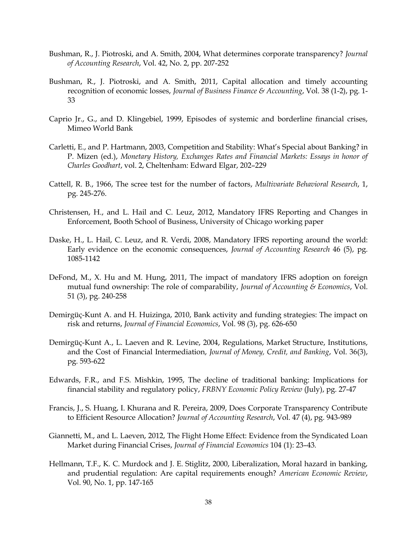- Bushman, R., J. Piotroski, and A. Smith, 2004, What determines corporate transparency? *Journal of Accounting Research*, Vol. 42, No. 2, pp. 207-252
- Bushman, R., J. Piotroski, and A. Smith, 2011, Capital allocation and timely accounting recognition of economic losses, *Journal of Business Finance & Accounting*, Vol. 38 (1-2), pg. 1- 33
- Caprio Jr., G., and D. Klingebiel, 1999, Episodes of systemic and borderline financial crises, Mimeo World Bank
- Carletti, E., and P. Hartmann, 2003, Competition and Stability: What's Special about Banking? in P. Mizen (ed.), *Monetary History, Exchanges Rates and Financial Markets: Essays in honor of Charles Goodhart*, vol. 2, Cheltenham: Edward Elgar, 202–229
- Cattell, R. B., 1966, The scree test for the number of factors, *Multivariate Behavioral Research*, 1, pg. 245-276.
- Christensen, H., and L. Hail and C. Leuz, 2012, Mandatory IFRS Reporting and Changes in Enforcement, Booth School of Business, University of Chicago working paper
- Daske, H., L. Hail, C. Leuz, and R. Verdi, 2008, Mandatory IFRS reporting around the world: Early evidence on the economic consequences, *Journal of Accounting Research* 46 (5), pg. 1085-1142
- DeFond, M., X. Hu and M. Hung, 2011, The impact of mandatory IFRS adoption on foreign mutual fund ownership: The role of comparability, *Journal of Accounting & Economics*, Vol. 51 (3), pg. 240-258
- Demirgüç-Kunt A. and H. Huizinga, 2010, Bank activity and funding strategies: The impact on risk and returns, *Journal of Financial Economics*, Vol. 98 (3), pg. 626-650
- Demirgüç-Kunt A., L. Laeven and R. Levine, 2004, Regulations, Market Structure, Institutions, and the Cost of Financial Intermediation, *Journal of Money, Credit, and Banking*, Vol. 36(3), pg. 593-622
- Edwards, F.R., and F.S. Mishkin, 1995, The decline of traditional banking: Implications for financial stability and regulatory policy, *FRBNY Economic Policy Review* (July), pg. 27-47
- Francis, J., S. Huang, I. Khurana and R. Pereira, 2009, Does Corporate Transparency Contribute to Efficient Resource Allocation? *Journal of Accounting Research*, Vol. 47 (4), pg. 943-989
- Giannetti, M., and L. Laeven, 2012, The Flight Home Effect: Evidence from the Syndicated Loan Market during Financial Crises, *Journal of Financial Economics* 104 (1): 23–43*.*
- Hellmann, T.F., K. C. Murdock and J. E. Stiglitz, 2000, Liberalization, Moral hazard in banking, and prudential regulation: Are capital requirements enough? *American Economic Review*, Vol. 90, No. 1, pp. 147-165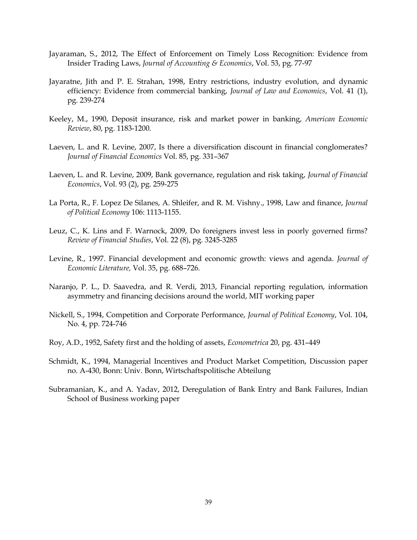- Jayaraman, S., 2012, The Effect of Enforcement on Timely Loss Recognition: Evidence from Insider Trading Laws, *Journal of Accounting & Economics*, Vol. 53, pg. 77-97
- Jayaratne, Jith and P. E. Strahan, 1998, Entry restrictions, industry evolution, and dynamic efficiency: Evidence from commercial banking, *[Journal of Law and Economics](http://www.jstor.org/action/showPublication?journalCode=jlaweconomics)*, Vol. 41 (1), pg. 239-274
- Keeley, M., 1990, Deposit insurance, risk and market power in banking, *American Economic Review*, 80, pg. 1183-1200.
- Laeven, L. and R. Levine, 2007, Is there a diversification discount in financial conglomerates? *Journal of Financial Economics* Vol. 85, pg. 331–367
- Laeven, L. and R. Levine, 2009, Bank governance, regulation and risk taking, *Journal of Financial Economics*, Vol. 93 (2), pg. 259-275
- La Porta, R., F. Lopez De Silanes, A. Shleifer, and R. M. Vishny., 1998, Law and finance, *Journal of Political Economy* 106: 1113-1155.
- Leuz, C., K. Lins and F. Warnock, 2009, Do foreigners invest less in poorly governed firms? *Review of Financial Studies*, Vol. 22 (8), pg. 3245-3285
- Levine, R., 1997. Financial development and economic growth: views and agenda. *Journal of Economic Literature,* Vol. 35, pg. 688–726.
- Naranjo, P. L., D. Saavedra, and R. Verdi, 2013, Financial reporting regulation, information asymmetry and financing decisions around the world, MIT working paper
- Nickell, S., 1994, Competition and Corporate Performance, *Journal of Political Economy*, Vol. 104, No. 4, pp. 724-746
- Roy, A.D., 1952, Safety first and the holding of assets, *Econometrica* 20, pg. 431–449
- Schmidt, K., 1994, Managerial Incentives and Product Market Competition, Discussion paper no. A-430, Bonn: Univ. Bonn, Wirtschaftspolitische Abteilung
- Subramanian, K., and A. Yadav, 2012, Deregulation of Bank Entry and Bank Failures, Indian School of Business working paper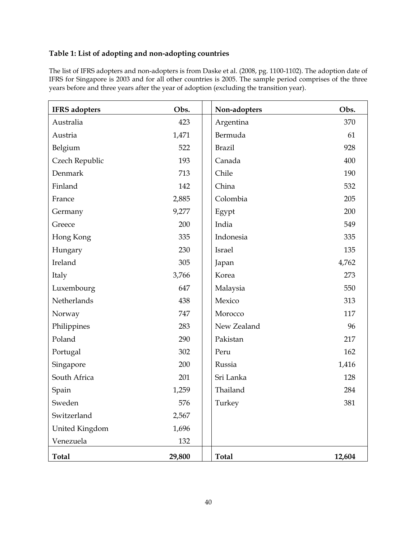# **Table 1: List of adopting and non-adopting countries**

The list of IFRS adopters and non-adopters is from Daske et al. (2008, pg. 1100-1102). The adoption date of IFRS for Singapore is 2003 and for all other countries is 2005. The sample period comprises of the three years before and three years after the year of adoption (excluding the transition year).

| <b>IFRS</b> adopters | Obs.   | Non-adopters  | Obs.   |
|----------------------|--------|---------------|--------|
| Australia            | 423    | Argentina     | 370    |
| Austria              | 1,471  | Bermuda       | 61     |
| Belgium              | 522    | <b>Brazil</b> | 928    |
| Czech Republic       | 193    | Canada        | 400    |
| Denmark              | 713    | Chile         | 190    |
| Finland              | 142    | China         | 532    |
| France               | 2,885  | Colombia      | 205    |
| Germany              | 9,277  | Egypt         | 200    |
| Greece               | 200    | India         | 549    |
| Hong Kong            | 335    | Indonesia     | 335    |
| Hungary              | 230    | Israel        | 135    |
| Ireland              | 305    | Japan         | 4,762  |
| Italy                | 3,766  | Korea         | 273    |
| Luxembourg           | 647    | Malaysia      | 550    |
| Netherlands          | 438    | Mexico        | 313    |
| Norway               | 747    | Morocco       | 117    |
| Philippines          | 283    | New Zealand   | 96     |
| Poland               | 290    | Pakistan      | 217    |
| Portugal             | 302    | Peru          | 162    |
| Singapore            | 200    | Russia        | 1,416  |
| South Africa         | 201    | Sri Lanka     | 128    |
| Spain                | 1,259  | Thailand      | 284    |
| Sweden               | 576    | Turkey        | 381    |
| Switzerland          | 2,567  |               |        |
| United Kingdom       | 1,696  |               |        |
| Venezuela            | 132    |               |        |
| <b>Total</b>         | 29,800 | <b>Total</b>  | 12,604 |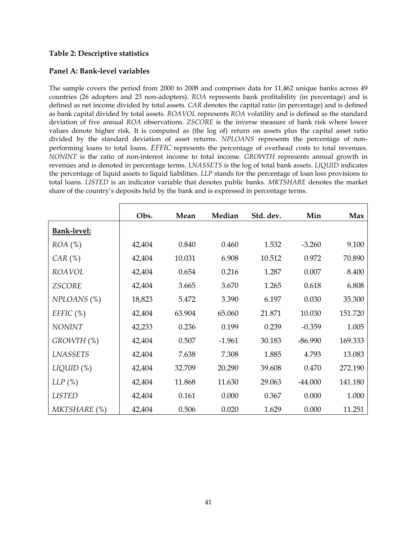### **Table 2: Descriptive statistics**

### **Panel A: Bank-level variables**

The sample covers the period from 2000 to 2008 and comprises data for 11,462 unique banks across 49 countries (26 adopters and 23 non-adopters). *ROA* represents bank profitability (in percentage) and is defined as net income divided by total assets. *CAR* denotes the capital ratio (in percentage) and is defined as bank capital divided by total assets. *ROAVOL* represents *ROA* volatility and is defined as the standard deviation of five annual *ROA* observations. *ZSCORE* is the inverse measure of bank risk where lower values denote higher risk. It is computed as (the log of) return on assets plus the capital asset ratio divided by the standard deviation of asset returns. *NPLOANS* represents the percentage of nonperforming loans to total loans. *EFFIC* represents the percentage of overhead costs to total revenues. *NONINT* is the ratio of non-interest income to total income. *GROWTH* represents annual growth in revenues and is denoted in percentage terms. *LNASSETS* is the log of total bank assets. *LIQUID* indicates the percentage of liquid assets to liquid liabilities. *LLP* stands for the percentage of loan loss provisions to total loans. *LISTED* is an indicator variable that denotes public banks. *MKTSHARE* denotes the market share of the country's deposits held by the bank and is expressed in percentage terms.

|                    | Obs.   | Mean   | Median   | Std. dev. | Min       | Max     |
|--------------------|--------|--------|----------|-----------|-----------|---------|
| <b>Bank-level:</b> |        |        |          |           |           |         |
| $ROA$ $(\%)$       | 42,404 | 0.840  | 0.460    | 1.532     | $-3.260$  | 9.100   |
| $CAR$ (%)          | 42,404 | 10.031 | 6.908    | 10.512    | 0.972     | 70.890  |
| <b>ROAVOL</b>      | 42,404 | 0.654  | 0.216    | 1.287     | 0.007     | 8.400   |
| <b>ZSCORE</b>      | 42,404 | 3.665  | 3.670    | 1.265     | 0.618     | 6.808   |
| $NPLOANS$ $(\%)$   | 18,823 | 5.472  | 3.390    | 6.197     | 0.030     | 35.300  |
| $EFFIC$ (%)        | 42,404 | 63.904 | 65.060   | 21.871    | 10.030    | 151.720 |
| <b>NONINT</b>      | 42,233 | 0.236  | 0.199    | 0.239     | $-0.359$  | 1.005   |
| GROWTH (%)         | 42,404 | 0.507  | $-1.961$ | 30.183    | $-86.990$ | 169.333 |
| <b>LNASSETS</b>    | 42,404 | 7.638  | 7.308    | 1.885     | 4.793     | 13.083  |
| $LIQUID$ (%)       | 42,404 | 32.709 | 20.290   | 39.608    | 0.470     | 272.190 |
| $LLP$ (%)          | 42,404 | 11.868 | 11.630   | 29.063    | $-44.000$ | 141.180 |
| <b>LISTED</b>      | 42,404 | 0.161  | 0.000    | 0.367     | 0.000     | 1.000   |
| MKTSHARE (%)       | 42,404 | 0.506  | 0.020    | 1.629     | 0.000     | 11.251  |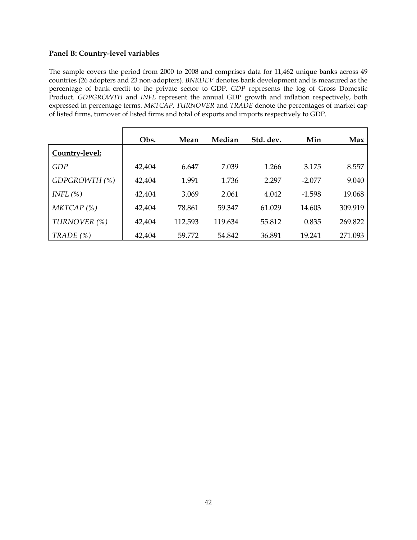### **Panel B: Country-level variables**

The sample covers the period from 2000 to 2008 and comprises data for 11,462 unique banks across 49 countries (26 adopters and 23 non-adopters). *BNKDEV* denotes bank development and is measured as the percentage of bank credit to the private sector to GDP. *GDP* represents the log of Gross Domestic Product. *GDPGROWTH* and *INFL* represent the annual GDP growth and inflation respectively, both expressed in percentage terms. *MKTCAP*, *TURNOVER* and *TRADE* denote the percentages of market cap of listed firms, turnover of listed firms and total of exports and imports respectively to GDP.

|                | Obs.   | Mean    | Median  | Std. dev. | Min      | Max     |
|----------------|--------|---------|---------|-----------|----------|---------|
| Country-level: |        |         |         |           |          |         |
| GDP            | 42,404 | 6.647   | 7.039   | 1.266     | 3.175    | 8.557   |
| GDPGROWTH (%)  | 42,404 | 1.991   | 1.736   | 2.297     | $-2.077$ | 9.040   |
| INFL $(\%)$    | 42,404 | 3.069   | 2.061   | 4.042     | $-1.598$ | 19.068  |
| MKTCAP(%)      | 42,404 | 78.861  | 59.347  | 61.029    | 14.603   | 309.919 |
| TURNOVER (%)   | 42,404 | 112.593 | 119.634 | 55.812    | 0.835    | 269.822 |
| TRADE $(\%)$   | 42,404 | 59.772  | 54.842  | 36.891    | 19.241   | 271.093 |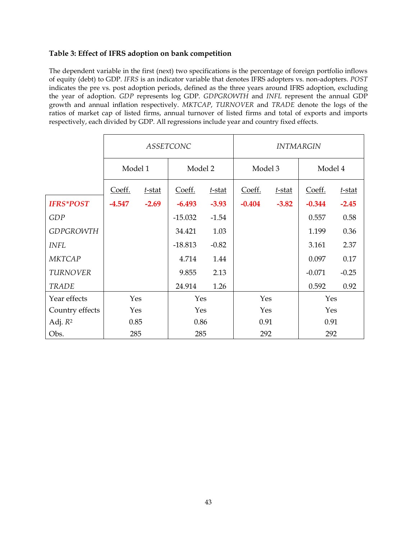### **Table 3: Effect of IFRS adoption on bank competition**

The dependent variable in the first (next) two specifications is the percentage of foreign portfolio inflows of equity (debt) to GDP. *IFRS* is an indicator variable that denotes IFRS adopters vs. non-adopters. *POST* indicates the pre vs. post adoption periods, defined as the three years around IFRS adoption, excluding the year of adoption. *GDP* represents log GDP. *GDPGROWTH* and *INFL* represent the annual GDP growth and annual inflation respectively. *MKTCAP*, *TURNOVER* and *TRADE* denote the logs of the ratios of market cap of listed firms, annual turnover of listed firms and total of exports and imports respectively, each divided by GDP. All regressions include year and country fixed effects.

|                     |                     |         | <b>ASSETCONC</b> |           | <b>INTMARGIN</b> |         |          |           |  |
|---------------------|---------------------|---------|------------------|-----------|------------------|---------|----------|-----------|--|
|                     | Model 1             |         | Model 2          |           | Model 3          |         | Model 4  |           |  |
|                     | Coeff.<br>$t$ -stat |         | Coeff.           | $t$ -stat | Coeff.           | t-stat  | Coeff.   | $t$ -stat |  |
| <b>IFRS*POST</b>    | $-4.547$            | $-2.69$ | $-6.493$         | $-3.93$   | $-0.404$         | $-3.82$ | $-0.344$ | $-2.45$   |  |
| GDP                 |                     |         | $-15.032$        | $-1.54$   |                  |         | 0.557    | 0.58      |  |
| <b>GDPGROWTH</b>    |                     |         | 34.421           | 1.03      |                  |         | 1.199    | 0.36      |  |
| <b>INFL</b>         |                     |         | $-18.813$        | $-0.82$   |                  |         | 3.161    | 2.37      |  |
| <b>MKTCAP</b>       |                     |         | 4.714            | 1.44      |                  |         | 0.097    | 0.17      |  |
| <b>TURNOVER</b>     |                     |         | 9.855            | 2.13      |                  |         | $-0.071$ | $-0.25$   |  |
| <b>TRADE</b>        |                     |         | 24.914           | 1.26      |                  |         | 0.592    | 0.92      |  |
| Year effects        | Yes                 |         | Yes              |           | Yes              |         | Yes      |           |  |
| Country effects     | Yes                 |         | Yes              |           | Yes              |         | Yes      |           |  |
| Adj. R <sup>2</sup> | 0.85                |         |                  | 0.86      |                  | 0.91    |          | 0.91      |  |
| Obs.                | 285                 |         | 285              |           | 292              |         | 292      |           |  |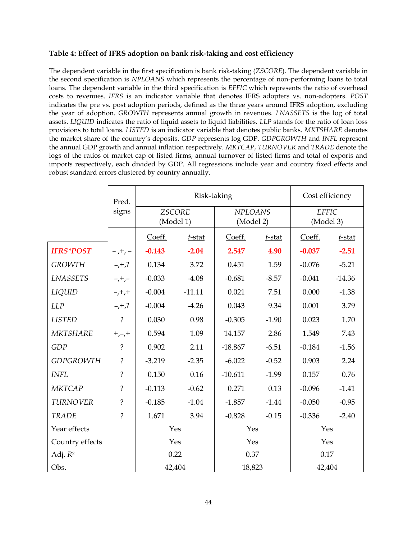### **Table 4: Effect of IFRS adoption on bank risk-taking and cost efficiency**

The dependent variable in the first specification is bank risk-taking (*ZSCORE*). The dependent variable in the second specification is *NPLOANS* which represents the percentage of non-performing loans to total loans. The dependent variable in the third specification is *EFFIC* which represents the ratio of overhead costs to revenues. *IFRS* is an indicator variable that denotes IFRS adopters vs. non-adopters. *POST* indicates the pre vs. post adoption periods, defined as the three years around IFRS adoption, excluding the year of adoption. *GROWTH* represents annual growth in revenues. *LNASSETS* is the log of total assets. *LIQUID* indicates the ratio of liquid assets to liquid liabilities. *LLP* stands for the ratio of loan loss provisions to total loans. *LISTED* is an indicator variable that denotes public banks. *MKTSHARE* denotes the market share of the country's deposits. *GDP* represents log GDP. *GDPGROWTH* and *INFL* represent the annual GDP growth and annual inflation respectively. *MKTCAP*, *TURNOVER* and *TRADE* denote the logs of the ratios of market cap of listed firms, annual turnover of listed firms and total of exports and imports respectively, each divided by GDP. All regressions include year and country fixed effects and robust standard errors clustered by country annually.

|                     | Pred.              |                            | Risk-taking |                             |           | Cost efficiency |                           |  |
|---------------------|--------------------|----------------------------|-------------|-----------------------------|-----------|-----------------|---------------------------|--|
|                     | signs              | <b>ZSCORE</b><br>(Model 1) |             | <b>NPLOANS</b><br>(Model 2) |           |                 | <b>EFFIC</b><br>(Model 3) |  |
|                     |                    | Coeff.                     | $t$ -stat   | Coeff.                      | $t$ -stat | Coeff.          | $t$ -stat                 |  |
| <b>IFRS*POST</b>    | $-$ , +, $-$       | $-0.143$                   | $-2.04$     | 2.547                       | 4.90      | $-0.037$        | $-2.51$                   |  |
| <b>GROWTH</b>       | $-1, +7$           | 0.134                      | 3.72        | 0.451                       | 1.59      | $-0.076$        | $-5.21$                   |  |
| <b>LNASSETS</b>     | $-,-$              | $-0.033$                   | $-4.08$     | $-0.681$                    | $-8.57$   | $-0.041$        | $-14.36$                  |  |
| LIQUID              | $-$ , +, +         | $-0.004$                   | $-11.11$    | 0.021                       | 7.51      | 0.000           | $-1.38$                   |  |
| LLP                 | $-,+$ ,?           | $-0.004$                   | $-4.26$     | 0.043                       | 9.34      | 0.001           | 3.79                      |  |
| <b>LISTED</b>       | $\ddot{?}$         | 0.030                      | 0.98        | $-0.305$                    | $-1.90$   | 0.023           | 1.70                      |  |
| <b>MKTSHARE</b>     | $+,-,+$            | 0.594                      | 1.09        | 14.157                      | 2.86      | 1.549           | 7.43                      |  |
| GDP                 | $\ddot{?}$         | 0.902                      | 2.11        | $-18.867$                   | $-6.51$   | $-0.184$        | $-1.56$                   |  |
| <b>GDPGROWTH</b>    | $\overline{\cdot}$ | $-3.219$                   | $-2.35$     | $-6.022$                    | $-0.52$   | 0.903           | 2.24                      |  |
| <b>INFL</b>         | $\overline{?}$     | 0.150                      | 0.16        | $-10.611$                   | $-1.99$   | 0.157           | 0.76                      |  |
| <b>MKTCAP</b>       | $\ddot{?}$         | $-0.113$                   | $-0.62$     | 0.271                       | 0.13      | $-0.096$        | $-1.41$                   |  |
| <b>TURNOVER</b>     | $\tilde{?}$        | $-0.185$                   | $-1.04$     | $-1.857$                    | $-1.44$   | $-0.050$        | $-0.95$                   |  |
| <b>TRADE</b>        | $\tilde{?}$        | 1.671                      | 3.94        | $-0.828$                    | $-0.15$   | $-0.336$        | $-2.40$                   |  |
| Year effects        |                    | Yes                        |             | Yes                         |           | Yes             |                           |  |
| Country effects     |                    | Yes                        |             | Yes                         |           | Yes             |                           |  |
| Adj. R <sup>2</sup> |                    | 0.22                       |             | 0.37                        |           | 0.17            |                           |  |
| Obs.                |                    | 42,404                     |             | 18,823                      |           | 42,404          |                           |  |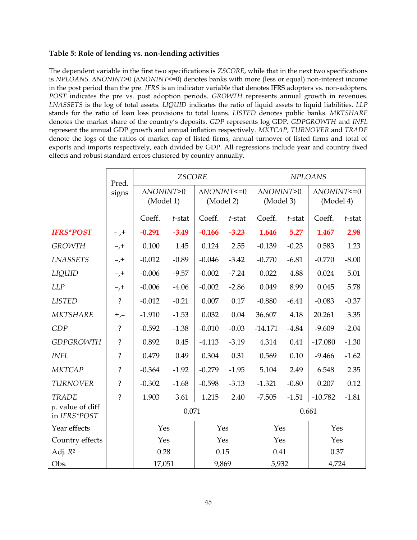### **Table 5: Role of lending vs. non-lending activities**

The dependent variable in the first two specifications is *ZSCORE*, while that in the next two specifications is *NPLOANS*. *∆NONINT*>0 (*∆NONINT*<=0) denotes banks with more (less or equal) non-interest income in the post period than the pre. *IFRS* is an indicator variable that denotes IFRS adopters vs. non-adopters. *POST* indicates the pre vs. post adoption periods. *GROWTH* represents annual growth in revenues. *LNASSETS* is the log of total assets. *LIQUID* indicates the ratio of liquid assets to liquid liabilities. *LLP* stands for the ratio of loan loss provisions to total loans. *LISTED* denotes public banks. *MKTSHARE* denotes the market share of the country's deposits. *GDP* represents log GDP. *GDPGROWTH* and *INFL* represent the annual GDP growth and annual inflation respectively. *MKTCAP*, *TURNOVER* and *TRADE* denote the logs of the ratios of market cap of listed firms, annual turnover of listed firms and total of exports and imports respectively, each divided by GDP. All regressions include year and country fixed effects and robust standard errors clustered by country annually.

|                                    | Pred.          |                        | <b>ZSCORE</b> |                                       |           |                        | <b>NPLOANS</b> |                                       |           |  |
|------------------------------------|----------------|------------------------|---------------|---------------------------------------|-----------|------------------------|----------------|---------------------------------------|-----------|--|
|                                    | signs          | ΔNONINT>0<br>(Model 1) |               | $\triangle NONINT < = 0$<br>(Model 2) |           | ΔNONINT>0<br>(Model 3) |                | $\triangle NONINT < = 0$<br>(Model 4) |           |  |
|                                    |                | Coeff.                 | $t$ -stat     | Coeff.                                | $t$ -stat | Coeff.                 | $t$ -stat      | Coeff.                                | $t$ -stat |  |
| <b>IFRS*POST</b>                   | $-$ , +        | $-0.291$               | $-3.49$       | $-0.166$                              | $-3.23$   | 1.646                  | 5.27           | 1.467                                 | 2.98      |  |
| <b>GROWTH</b>                      | $-1$           | 0.100                  | 1.45          | 0.124                                 | 2.55      | $-0.139$               | $-0.23$        | 0.583                                 | 1.23      |  |
| <b>LNASSETS</b>                    | $-$ , +        | $-0.012$               | $-0.89$       | $-0.046$                              | $-3.42$   | $-0.770$               | $-6.81$        | $-0.770$                              | $-8.00$   |  |
| LIQUID                             | $-$ , +        | $-0.006$               | $-9.57$       | $-0.002$                              | $-7.24$   | 0.022                  | 4.88           | 0.024                                 | 5.01      |  |
| <b>LLP</b>                         | $-$ , +        | $-0.006$               | $-4.06$       | $-0.002$                              | $-2.86$   | 0.049                  | 8.99           | 0.045                                 | 5.78      |  |
| <b>LISTED</b>                      | $\ddot{?}$     | $-0.012$               | $-0.21$       | 0.007                                 | 0.17      | $-0.880$               | $-6.41$        | $-0.083$                              | $-0.37$   |  |
| <b>MKTSHARE</b>                    | $^{+,-}$       | $-1.910$               | $-1.53$       | 0.032                                 | 0.04      | 36.607                 | 4.18           | 20.261                                | 3.35      |  |
| GDP                                | $\ddot{?}$     | $-0.592$               | $-1.38$       | $-0.010$                              | $-0.03$   | $-14.171$              | $-4.84$        | $-9.609$                              | $-2.04$   |  |
| <b>GDPGROWTH</b>                   | $\ddot{?}$     | 0.892                  | 0.45          | $-4.113$                              | $-3.19$   | 4.314                  | 0.41           | $-17.080$                             | $-1.30$   |  |
| <b>INFL</b>                        | $\ddot{?}$     | 0.479                  | 0.49          | 0.304                                 | 0.31      | 0.569                  | 0.10           | $-9.466$                              | $-1.62$   |  |
| <b>MKTCAP</b>                      | $\ddot{?}$     | $-0.364$               | $-1.92$       | $-0.279$                              | $-1.95$   | 5.104                  | 2.49           | 6.548                                 | 2.35      |  |
| <b>TURNOVER</b>                    | $\ddot{?}$     | $-0.302$               | $-1.68$       | $-0.598$                              | $-3.13$   | $-1.321$               | $-0.80$        | 0.207                                 | 0.12      |  |
| <b>TRADE</b>                       | $\overline{?}$ | 1.903                  | 3.61          | 1.215                                 | 2.40      | $-7.505$               | $-1.51$        | $-10.782$                             | $-1.81$   |  |
| $p.$ value of diff<br>in IFRS*POST |                |                        | 0.071         |                                       |           |                        |                | 0.661                                 |           |  |
| Year effects                       |                | Yes                    |               | Yes                                   |           | Yes                    |                | Yes                                   |           |  |
| Country effects                    |                | Yes                    |               | Yes                                   |           | Yes                    |                | Yes                                   |           |  |
| Adj. R <sup>2</sup>                |                | 0.28                   |               | 0.15                                  |           | 0.41                   |                | 0.37                                  |           |  |
| Obs.                               |                | 17,051                 |               | 9,869                                 |           | 5,932                  |                | 4,724                                 |           |  |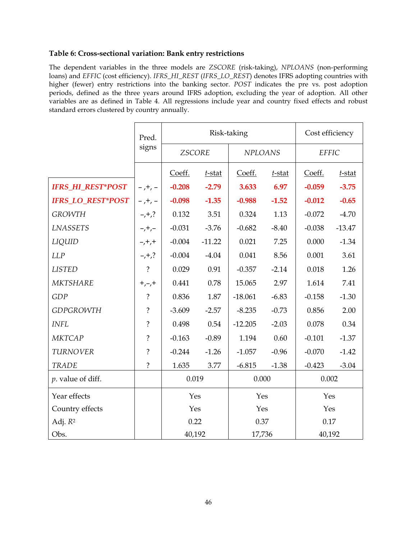### **Table 6: Cross-sectional variation: Bank entry restrictions**

The dependent variables in the three models are *ZSCORE* (risk-taking), *NPLOANS* (non-performing loans) and *EFFIC* (cost efficiency). *IFRS\_HI\_REST* (*IFRS\_LO\_REST*) denotes IFRS adopting countries with higher (fewer) entry restrictions into the banking sector. *POST* indicates the pre vs. post adoption periods, defined as the three years around IFRS adoption, excluding the year of adoption. All other variables are as defined in Table 4. All regressions include year and country fixed effects and robust standard errors clustered by country annually.

|                          | Pred.          |               | Risk-taking |                | Cost efficiency |              |           |
|--------------------------|----------------|---------------|-------------|----------------|-----------------|--------------|-----------|
|                          | signs          | <b>ZSCORE</b> |             | <b>NPLOANS</b> |                 | <b>EFFIC</b> |           |
|                          |                | Coeff.        | $t$ -stat   | Coeff.         | $t$ -stat       | Coeff.       | $t$ -stat |
| IFRS_HI_REST*POST        | $-$ , +, $-$   | $-0.208$      | $-2.79$     | 3.633          | 6.97            | $-0.059$     | $-3.75$   |
| <b>IFRS_LO_REST*POST</b> | $-$ , +, $-$   | $-0.098$      | $-1.35$     | $-0.988$       | $-1.52$         | $-0.012$     | $-0.65$   |
| <b>GROWTH</b>            | $-,+$ ,?       | 0.132         | 3.51        | 0.324          | 1.13            | $-0.072$     | $-4.70$   |
| <b>LNASSETS</b>          | $-$ , +, $-$   | $-0.031$      | $-3.76$     | $-0.682$       | $-8.40$         | $-0.038$     | $-13.47$  |
| LIQUID                   | $-, +, +$      | $-0.004$      | $-11.22$    | 0.021          | 7.25            | 0.000        | $-1.34$   |
| LLP                      | $-1, +7$       | $-0.004$      | $-4.04$     | 0.041          | 8.56            | 0.001        | 3.61      |
| <b>LISTED</b>            | $\tilde{?}$    | 0.029         | 0.91        | $-0.357$       | $-2.14$         | 0.018        | 1.26      |
| MKTSHARE                 | $+,-,+$        | 0.441         | 0.78        | 15.065         | 2.97            | 1.614        | 7.41      |
| <b>GDP</b>               | $\ddot{?}$     | 0.836         | 1.87        | $-18.061$      | $-6.83$         | $-0.158$     | $-1.30$   |
| <b>GDPGROWTH</b>         | $\ddot{?}$     | $-3.609$      | $-2.57$     | $-8.235$       | $-0.73$         | 0.856        | 2.00      |
| <b>INFL</b>              | $\ddot{?}$     | 0.498         | 0.54        | $-12.205$      | $-2.03$         | 0.078        | 0.34      |
| <b>MKTCAP</b>            | $\ddot{?}$     | $-0.163$      | $-0.89$     | 1.194          | 0.60            | $-0.101$     | $-1.37$   |
| <b>TURNOVER</b>          | $\tilde{?}$    | $-0.244$      | $-1.26$     | $-1.057$       | $-0.96$         | $-0.070$     | $-1.42$   |
| <b>TRADE</b>             | $\overline{?}$ | 1.635         | 3.77        | $-6.815$       | $-1.38$         | $-0.423$     | $-3.04$   |
| $p.$ value of diff.      |                | 0.019         |             | 0.000          |                 | 0.002        |           |
| Year effects             |                | Yes           |             | Yes            |                 | Yes          |           |
| Country effects          |                | Yes           |             | Yes            |                 | Yes          |           |
| Adj. $R^2$               |                | 0.22          |             | 0.37           |                 | 0.17         |           |
| Obs.                     |                | 40,192        |             | 17,736         |                 | 40,192       |           |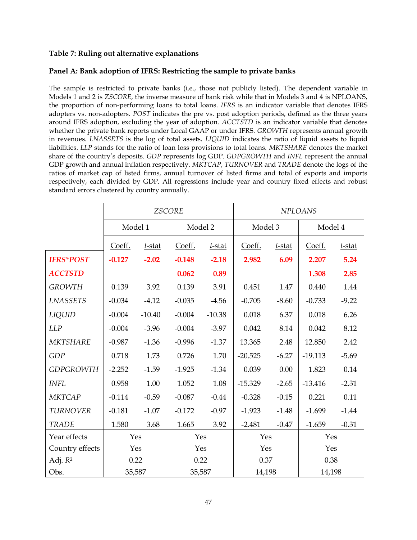### **Table 7: Ruling out alternative explanations**

# **Panel A: Bank adoption of IFRS: Restricting the sample to private banks**

The sample is restricted to private banks (i.e., those not publicly listed). The dependent variable in Models 1 and 2 is *ZSCORE,* the inverse measure of bank risk while that in Models 3 and 4 is NPLOANS, the proportion of non-performing loans to total loans. *IFRS* is an indicator variable that denotes IFRS adopters vs. non-adopters. *POST* indicates the pre vs. post adoption periods, defined as the three years around IFRS adoption, excluding the year of adoption. *ACCTSTD* is an indicator variable that denotes whether the private bank reports under Local GAAP or under IFRS. *GROWTH* represents annual growth in revenues. *LNASSETS* is the log of total assets. *LIQUID* indicates the ratio of liquid assets to liquid liabilities. *LLP* stands for the ratio of loan loss provisions to total loans. *MKTSHARE* denotes the market share of the country's deposits. *GDP* represents log GDP. *GDPGROWTH* and *INFL* represent the annual GDP growth and annual inflation respectively. *MKTCAP*, *TURNOVER* and *TRADE* denote the logs of the ratios of market cap of listed firms, annual turnover of listed firms and total of exports and imports respectively, each divided by GDP. All regressions include year and country fixed effects and robust standard errors clustered by country annually.

|                  |          |           | <b>ZSCORE</b> |           | <b>NPLOANS</b> |           |           |           |  |
|------------------|----------|-----------|---------------|-----------|----------------|-----------|-----------|-----------|--|
|                  |          | Model 1   | Model 2       |           | Model 3        |           | Model 4   |           |  |
|                  | Coeff.   | $t$ -stat | Coeff.        | $t$ -stat | Coeff.         | $t$ -stat | Coeff.    | $t$ -stat |  |
| <b>IFRS*POST</b> | $-0.127$ | $-2.02$   | $-0.148$      | $-2.18$   | 2.982          | 6.09      | 2.207     | 5.24      |  |
| <b>ACCTSTD</b>   |          |           | 0.062         | 0.89      |                |           | 1.308     | 2.85      |  |
| <b>GROWTH</b>    | 0.139    | 3.92      | 0.139         | 3.91      | 0.451          | 1.47      | 0.440     | 1.44      |  |
| <b>LNASSETS</b>  | $-0.034$ | $-4.12$   | $-0.035$      | $-4.56$   | $-0.705$       | $-8.60$   | $-0.733$  | $-9.22$   |  |
| LIQUID           | $-0.004$ | $-10.40$  | $-0.004$      | $-10.38$  | 0.018          | 6.37      | 0.018     | 6.26      |  |
| <b>LLP</b>       | $-0.004$ | $-3.96$   | $-0.004$      | $-3.97$   | 0.042          | 8.14      | 0.042     | 8.12      |  |
| MKTSHARE         | $-0.987$ | $-1.36$   | $-0.996$      | $-1.37$   | 13.365         | 2.48      | 12.850    | 2.42      |  |
| <b>GDP</b>       | 0.718    | 1.73      | 0.726         | 1.70      | $-20.525$      | $-6.27$   | $-19.113$ | $-5.69$   |  |
| <b>GDPGROWTH</b> | $-2.252$ | $-1.59$   | $-1.925$      | $-1.34$   | 0.039          | 0.00      | 1.823     | 0.14      |  |
| <b>INFL</b>      | 0.958    | 1.00      | 1.052         | 1.08      | $-15.329$      | $-2.65$   | $-13.416$ | $-2.31$   |  |
| <b>MKTCAP</b>    | $-0.114$ | $-0.59$   | $-0.087$      | $-0.44$   | $-0.328$       | $-0.15$   | 0.221     | 0.11      |  |
| <b>TURNOVER</b>  | $-0.181$ | $-1.07$   | $-0.172$      | $-0.97$   | $-1.923$       | $-1.48$   | $-1.699$  | $-1.44$   |  |
| <b>TRADE</b>     | 1.580    | 3.68      | 1.665         | 3.92      | $-2.481$       | $-0.47$   | $-1.659$  | $-0.31$   |  |
| Year effects     |          | Yes       | Yes           |           | Yes            |           | Yes       |           |  |
| Country effects  |          | Yes       | Yes           |           | Yes            |           | Yes       |           |  |
| Adj. $R^2$       |          | 0.22      |               | 0.22      | 0.37           |           | 0.38      |           |  |
| Obs.             |          | 35,587    | 35,587        |           | 14,198         |           | 14,198    |           |  |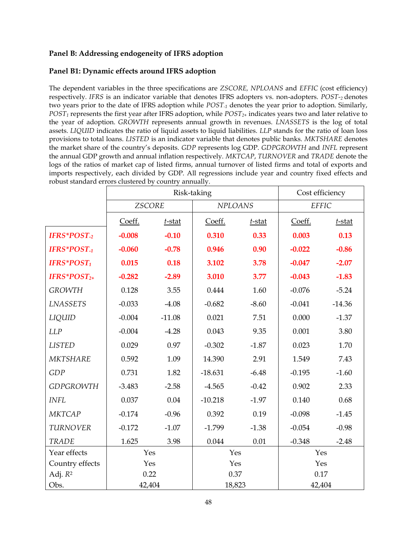# **Panel B: Addressing endogeneity of IFRS adoption**

# **Panel B1: Dynamic effects around IFRS adoption**

The dependent variables in the three specifications are *ZSCORE, NPLOANS* and *EFFIC* (cost efficiency) respectively*. IFRS* is an indicator variable that denotes IFRS adopters vs. non-adopters. *POST-<sup>2</sup>* denotes two years prior to the date of IFRS adoption while *POST-1* denotes the year prior to adoption. Similarly, *POST<sup>1</sup>* represents the first year after IFRS adoption, while *POST2+* indicates years two and later relative to the year of adoption. *GROWTH* represents annual growth in revenues. *LNASSETS* is the log of total assets. *LIQUID* indicates the ratio of liquid assets to liquid liabilities. *LLP* stands for the ratio of loan loss provisions to total loans. *LISTED* is an indicator variable that denotes public banks. *MKTSHARE* denotes the market share of the country's deposits. *GDP* represents log GDP. *GDPGROWTH* and *INFL* represent the annual GDP growth and annual inflation respectively. *MKTCAP*, *TURNOVER* and *TRADE* denote the logs of the ratios of market cap of listed firms, annual turnover of listed firms and total of exports and imports respectively, each divided by GDP. All regressions include year and country fixed effects and robust standard errors clustered by country annually.

|                         |               |           | Risk-taking    |           | Cost efficiency |           |  |
|-------------------------|---------------|-----------|----------------|-----------|-----------------|-----------|--|
|                         | <b>ZSCORE</b> |           | <b>NPLOANS</b> |           | <b>EFFIC</b>    |           |  |
|                         | Coeff.        | $t$ -stat | Coeff.         | $t$ -stat | Coeff.          | $t$ -stat |  |
| IFRS*POST <sub>-2</sub> | $-0.008$      | $-0.10$   | 0.310          | 0.33      | 0.003           | 0.13      |  |
| IFRS*POST <sub>-1</sub> | $-0.060$      | $-0.78$   | 0.946          | 0.90      | $-0.022$        | $-0.86$   |  |
| IFRS*POST1              | 0.015         | 0.18      | 3.102          | 3.78      | $-0.047$        | $-2.07$   |  |
| IFRS* $POST_{2+}$       | $-0.282$      | $-2.89$   | 3.010          | 3.77      | $-0.043$        | $-1.83$   |  |
| <b>GROWTH</b>           | 0.128         | 3.55      | 0.444          | 1.60      | $-0.076$        | $-5.24$   |  |
| <b>LNASSETS</b>         | $-0.033$      | $-4.08$   | $-0.682$       | $-8.60$   | $-0.041$        | $-14.36$  |  |
| LIQUID                  | $-0.004$      | $-11.08$  | 0.021          | 7.51      | 0.000           | $-1.37$   |  |
| LLP                     | $-0.004$      | $-4.28$   | 0.043          | 9.35      | 0.001           | 3.80      |  |
| <b>LISTED</b>           | 0.029         | 0.97      | $-0.302$       | $-1.87$   | 0.023           | 1.70      |  |
| <b>MKTSHARE</b>         | 0.592         | 1.09      | 14.390         | 2.91      | 1.549           | 7.43      |  |
| GDP                     | 0.731         | 1.82      | $-18.631$      | $-6.48$   | $-0.195$        | $-1.60$   |  |
| <b>GDPGROWTH</b>        | $-3.483$      | $-2.58$   | $-4.565$       | $-0.42$   | 0.902           | 2.33      |  |
| <b>INFL</b>             | 0.037         | 0.04      | $-10.218$      | $-1.97$   | 0.140           | 0.68      |  |
| <b>MKTCAP</b>           | $-0.174$      | $-0.96$   | 0.392          | 0.19      | $-0.098$        | $-1.45$   |  |
| <b>TURNOVER</b>         | $-0.172$      | $-1.07$   | $-1.799$       | $-1.38$   | $-0.054$        | $-0.98$   |  |
| <b>TRADE</b>            | 1.625         | 3.98      | 0.044          | 0.01      | $-0.348$        | $-2.48$   |  |
| Year effects            | Yes           |           | Yes            |           | Yes             |           |  |
| Country effects         | Yes           |           | Yes            |           | Yes             |           |  |
| Adj. $R^2$              | 0.22          |           | 0.37           |           | 0.17            |           |  |
| Obs.                    | 42,404        |           | 18,823         |           | 42,404          |           |  |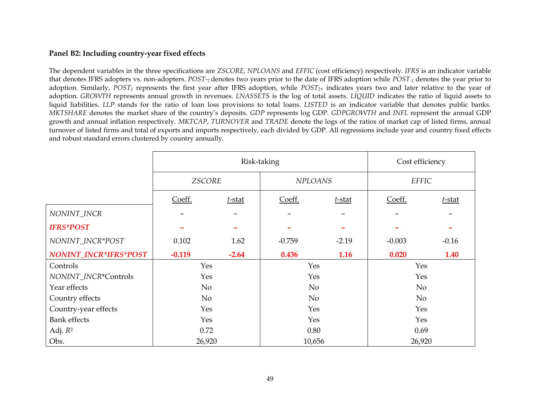### **Panel B2: Including country-year fixed effects**

The dependent variables in the three specifications are *ZSCORE, NPLOANS* and *EFFIC* (cost efficiency) respectively*. IFRS* is an indicator variable that denotes IFRS adopters vs. non-adopters. *POST-<sup>2</sup>* denotes two years prior to the date of IFRS adoption while *POST-1* denotes the year prior to adoption. Similarly, *POST<sup>1</sup>* represents the first year after IFRS adoption, while *POST2+* indicates years two and later relative to the year of adoption. *GROWTH* represents annual growth in revenues. *LNASSETS* is the log of total assets. *LIQUID* indicates the ratio of liquid assets to liquid liabilities. *LLP* stands for the ratio of loan loss provisions to total loans. *LISTED* is an indicator variable that denotes public banks. *MKTSHARE* denotes the market share of the country's deposits. *GDP* represents log GDP. *GDPGROWTH* and *INFL* represent the annual GDP growth and annual inflation respectively. *MKTCAP*, *TURNOVER* and *TRADE* denote the logs of the ratios of market cap of listed firms, annual turnover of listed firms and total of exports and imports respectively, each divided by GDP. All regressions include year and country fixed effects and robust standard errors clustered by country annually.

|                       |               |                                  | Risk-taking    |         | Cost efficiency |         |  |
|-----------------------|---------------|----------------------------------|----------------|---------|-----------------|---------|--|
|                       | <b>ZSCORE</b> |                                  | <b>NPLOANS</b> |         | <b>EFFIC</b>    |         |  |
|                       | Coeff.        | Coeff.<br>$t$ -stat<br>$t$ -stat |                | Coeff.  | $t$ -stat       |         |  |
| NONINT_INCR           |               |                                  |                |         |                 |         |  |
| <b>IFRS*POST</b>      |               |                                  |                |         |                 |         |  |
| NONINT_INCR*POST      | 0.102         | 1.62                             | $-0.759$       | $-2.19$ | $-0.003$        | $-0.16$ |  |
| NONINT_INCR*IFRS*POST | $-0.119$      | $-2.64$                          | 0.436          | 1.16    | 0.020           | 1.40    |  |
| Controls              | Yes           |                                  | Yes            |         | Yes             |         |  |
| NONINT_INCR*Controls  | Yes           |                                  | Yes            |         | Yes             |         |  |
| Year effects          | No            |                                  | N <sub>o</sub> |         | No              |         |  |
| Country effects       | No            |                                  | No             |         | No              |         |  |
| Country-year effects  | Yes           |                                  | Yes            |         | Yes             |         |  |
| <b>Bank</b> effects   | Yes           |                                  | Yes            |         | Yes             |         |  |
| Adj. $R^2$            | 0.72          |                                  | 0.80           |         | 0.69            |         |  |
| Obs.                  | 26,920        |                                  | 10,656         |         | 26,920          |         |  |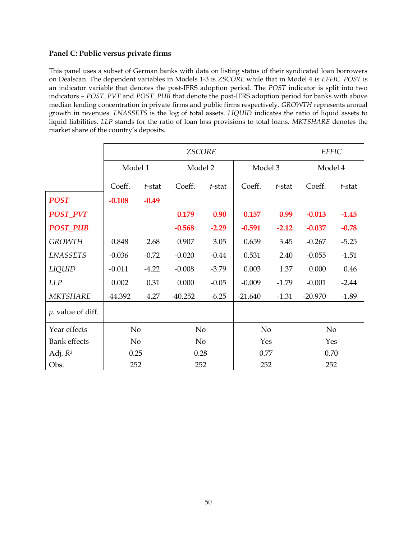# **Panel C: Public versus private firms**

This panel uses a subset of German banks with data on listing status of their syndicated loan borrowers on Dealscan. The dependent variables in Models 1-3 is *ZSCORE* while that in Model 4 is *EFFIC. POST* is an indicator variable that denotes the post-IFRS adoption period. The *POST* indicator is split into two indicators – *POST\_PVT* and *POST\_PUB* that denote the post-IFRS adoption period for banks with above median lending concentration in private firms and public firms respectively. *GROWTH* represents annual growth in revenues. *LNASSETS* is the log of total assets. *LIQUID* indicates the ratio of liquid assets to liquid liabilities. *LLP* stands for the ratio of loan loss provisions to total loans. *MKTSHARE* denotes the market share of the country's deposits.

|                           |                |         | <b>ZSCORE</b>  |         |                |         | <b>EFFIC</b>   |         |
|---------------------------|----------------|---------|----------------|---------|----------------|---------|----------------|---------|
|                           | Model 1        |         |                | Model 2 |                | Model 3 | Model 4        |         |
|                           | Coeff.         | t-stat  | Coeff.         | t-stat  | Coeff.         | t-stat  | Coeff.         | t-stat  |
| <b>POST</b>               | $-0.108$       | $-0.49$ |                |         |                |         |                |         |
| <b>POST_PVT</b>           |                |         | 0.179          | 0.90    | 0.157          | 0.99    | $-0.013$       | $-1.45$ |
| <b>POST_PUB</b>           |                |         | $-0.568$       | $-2.29$ | $-0.591$       | $-2.12$ | $-0.037$       | $-0.78$ |
| <b>GROWTH</b>             | 0.848          | 2.68    | 0.907          | 3.05    | 0.659          | 3.45    | $-0.267$       | $-5.25$ |
| <b>LNASSETS</b>           | $-0.036$       | $-0.72$ | $-0.020$       | $-0.44$ | 0.531          | 2.40    | $-0.055$       | $-1.51$ |
| LIQUID                    | $-0.011$       | $-4.22$ | $-0.008$       | $-3.79$ | 0.003          | 1.37    | 0.000          | 0.46    |
| <b>LLP</b>                | 0.002          | 0.31    | 0.000          | $-0.05$ | $-0.009$       | $-1.79$ | $-0.001$       | $-2.44$ |
| MKTSHARE                  | $-44.392$      | $-4.27$ | $-40.252$      | $-6.25$ | $-21.640$      | $-1.31$ | $-20.970$      | $-1.89$ |
| <i>p</i> . value of diff. |                |         |                |         |                |         |                |         |
| Year effects              | No             |         | No             |         | N <sub>o</sub> |         | N <sub>o</sub> |         |
| <b>Bank</b> effects       | N <sub>o</sub> |         | N <sub>o</sub> |         | Yes            |         | Yes            |         |
| Adj. $R^2$                | 0.25           |         | 0.28           |         | 0.77           |         | 0.70           |         |
| Obs.                      | 252            |         | 252            |         | 252            |         | 252            |         |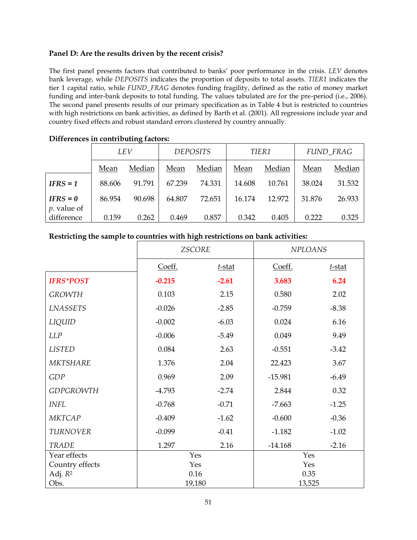### **Panel D: Are the results driven by the recent crisis?**

The first panel presents factors that contributed to banks' poor performance in the crisis. *LEV* denotes bank leverage, while *DEPOSITS* indicates the proportion of deposits to total assets. *TIER1* indicates the tier 1 capital ratio, while *FUND\_FRAG* denotes funding fragility, defined as the ratio of money market funding and inter-bank deposits to total funding. The values tabulated are for the pre-period (i.e., 2006). The second panel presents results of our primary specification as in Table 4 but is restricted to countries with high restrictions on bank activities, as defined by Barth et al. (2001). All regressions include year and country fixed effects and robust standard errors clustered by country annually.

|                             | o      |        |                 |        |        |        |                  |        |  |
|-----------------------------|--------|--------|-----------------|--------|--------|--------|------------------|--------|--|
|                             | LEV    |        | <b>DEPOSITS</b> |        | TIER1  |        | <b>FUND FRAG</b> |        |  |
|                             | Mean   | Median | Mean            | Median | Mean   | Median | Mean             | Median |  |
| $IFRS = 1$                  | 88.606 | 91.791 | 67.239          | 74.331 | 14.608 | 10.761 | 38.024           | 31.532 |  |
| $IFRS = 0$<br>$p.$ value of | 86.954 | 90.698 | 64.807          | 72.651 | 16.174 | 12.972 | 31.876           | 26.933 |  |
| difference                  | 0.159  | 0.262  | 0.469           | 0.857  | 0.342  | 0.405  | 0.222            | 0.325  |  |

# **Differences in contributing factors:**

### **Restricting the sample to countries with high restrictions on bank activities:**

|                     | <b>ZSCORE</b> |           | <b>NPLOANS</b> |           |  |
|---------------------|---------------|-----------|----------------|-----------|--|
|                     | Coeff.        | $t$ -stat | Coeff.         | $t$ -stat |  |
| <b>IFRS*POST</b>    | $-0.215$      | $-2.61$   | 3.683          | 6.24      |  |
| <b>GROWTH</b>       | 0.103         | 2.15      | 0.580          | 2.02      |  |
| <b>LNASSETS</b>     | $-0.026$      | $-2.85$   | $-0.759$       | $-8.38$   |  |
| LIQUID              | $-0.002$      | $-6.03$   | 0.024          | 6.16      |  |
| <b>LLP</b>          | $-0.006$      | $-5.49$   | 0.049          | 9.49      |  |
| <b>LISTED</b>       | 0.084         | 2.63      | $-0.551$       | $-3.42$   |  |
| <b>MKTSHARE</b>     | 1.376         | 2.04      | 22.423         | 3.67      |  |
| GDP                 | 0.969         | 2.09      | $-15.981$      | $-6.49$   |  |
| <b>GDPGROWTH</b>    | $-4.793$      | $-2.74$   | 2.844          | 0.32      |  |
| <b>INFL</b>         | $-0.768$      | $-0.71$   | $-7.663$       | $-1.25$   |  |
| <b>MKTCAP</b>       | $-0.409$      | $-1.62$   | $-0.600$       | $-0.36$   |  |
| <b>TURNOVER</b>     | $-0.099$      | $-0.41$   | $-1.182$       | $-1.02$   |  |
| <b>TRADE</b>        | 1.297         | 2.16      | $-14.168$      | $-2.16$   |  |
| Year effects        | Yes           |           | Yes            |           |  |
| Country effects     | Yes           |           | Yes            |           |  |
| Adj. R <sup>2</sup> | 0.16          |           | 0.35           |           |  |
| Obs.                | 19,180        |           | 13,525         |           |  |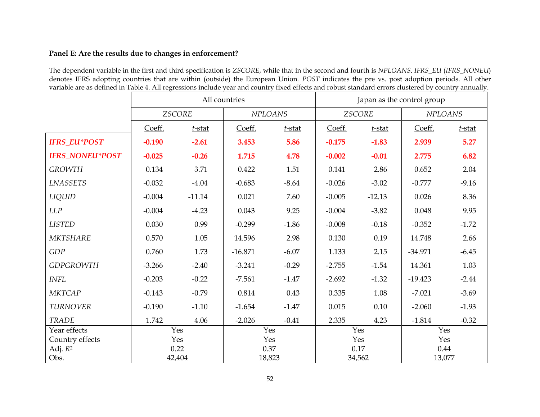### **Panel E: Are the results due to changes in enforcement?**

The dependent variable in the first and third specification is *ZSCORE*, while that in the second and fourth is *NPLOANS*. *IFRS\_EU* (*IFRS\_NONEU*) denotes IFRS adopting countries that are within (outside) the European Union. *POST* indicates the pre vs. post adoption periods. All other variable are as defined in Table 4. All regressions include year and country fixed effects and robust standard errors clustered by country annually.

|                        | All countries |           |                | Japan as the control group |               |           |                |           |
|------------------------|---------------|-----------|----------------|----------------------------|---------------|-----------|----------------|-----------|
|                        | <b>ZSCORE</b> |           | <b>NPLOANS</b> |                            | <b>ZSCORE</b> |           | <b>NPLOANS</b> |           |
|                        | Coeff.        | $t$ -stat | Coeff.         | $t$ -stat                  | Coeff.        | $t$ -stat | Coeff.         | $t$ -stat |
| <b>IFRS_EU*POST</b>    | $-0.190$      | $-2.61$   | 3.453          | 5.86                       | $-0.175$      | $-1.83$   | 2.939          | 5.27      |
| <b>IFRS NONEU*POST</b> | $-0.025$      | $-0.26$   | 1.715          | 4.78                       | $-0.002$      | $-0.01$   | 2.775          | 6.82      |
| <b>GROWTH</b>          | 0.134         | 3.71      | 0.422          | 1.51                       | 0.141         | 2.86      | 0.652          | 2.04      |
| <b>LNASSETS</b>        | $-0.032$      | $-4.04$   | $-0.683$       | $-8.64$                    | $-0.026$      | $-3.02$   | $-0.777$       | $-9.16$   |
| LIQUID                 | $-0.004$      | $-11.14$  | 0.021          | 7.60                       | $-0.005$      | $-12.13$  | 0.026          | 8.36      |
| LLP                    | $-0.004$      | $-4.23$   | 0.043          | 9.25                       | $-0.004$      | $-3.82$   | 0.048          | 9.95      |
| <b>LISTED</b>          | 0.030         | 0.99      | $-0.299$       | $-1.86$                    | $-0.008$      | $-0.18$   | $-0.352$       | $-1.72$   |
| <b>MKTSHARE</b>        | 0.570         | 1.05      | 14.596         | 2.98                       | 0.130         | 0.19      | 14.748         | 2.66      |
| GDP                    | 0.760         | 1.73      | $-16.871$      | $-6.07$                    | 1.133         | 2.15      | $-34.971$      | $-6.45$   |
| <b>GDPGROWTH</b>       | $-3.266$      | $-2.40$   | $-3.241$       | $-0.29$                    | $-2.755$      | $-1.54$   | 14.361         | 1.03      |
| <b>INFL</b>            | $-0.203$      | $-0.22$   | $-7.561$       | $-1.47$                    | $-2.692$      | $-1.32$   | $-19.423$      | $-2.44$   |
| <b>MKTCAP</b>          | $-0.143$      | $-0.79$   | 0.814          | 0.43                       | 0.335         | 1.08      | $-7.021$       | $-3.69$   |
| <b>TURNOVER</b>        | $-0.190$      | $-1.10$   | $-1.654$       | $-1.47$                    | 0.015         | 0.10      | $-2.060$       | $-1.93$   |
| <b>TRADE</b>           | 1.742         | 4.06      | $-2.026$       | $-0.41$                    | 2.335         | 4.23      | $-1.814$       | $-0.32$   |
| Year effects           | Yes           |           | Yes            |                            | Yes           |           | Yes            |           |
| Country effects        | Yes           |           | Yes            |                            | Yes           |           | Yes            |           |
| Adj. $R^2$             | 0.22          |           | 0.37           |                            | 0.17          |           | 0.44           |           |
| Obs.                   | 42,404        |           | 18,823         |                            | 34,562        |           | 13,077         |           |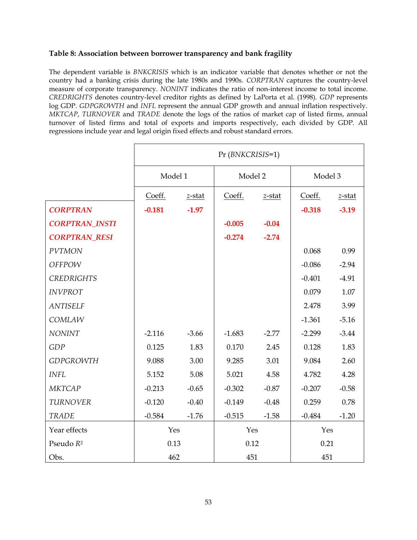### **Table 8: Association between borrower transparency and bank fragility**

The dependent variable is *BNKCRISIS* which is an indicator variable that denotes whether or not the country had a banking crisis during the late 1980s and 1990s. *CORPTRAN* captures the country-level measure of corporate transparency. *NONINT* indicates the ratio of non-interest income to total income. *CREDRIGHTS* denotes country-level creditor rights as defined by LaPorta et al. (1998). *GDP* represents log GDP. *GDPGROWTH* and *INFL* represent the annual GDP growth and annual inflation respectively. *MKTCAP*, *TURNOVER* and *TRADE* denote the logs of the ratios of market cap of listed firms, annual turnover of listed firms and total of exports and imports respectively, each divided by GDP. All regressions include year and legal origin fixed effects and robust standard errors.

|                       | Pr (BNKCRISIS=1) |           |          |         |          |           |
|-----------------------|------------------|-----------|----------|---------|----------|-----------|
|                       | Model 1          |           | Model 2  |         | Model 3  |           |
|                       | Coeff.           | $z$ -stat | Coeff.   | z-stat  | Coeff.   | $z$ -stat |
| <b>CORPTRAN</b>       | $-0.181$         | $-1.97$   |          |         | $-0.318$ | $-3.19$   |
| <b>CORPTRAN_INSTI</b> |                  |           | $-0.005$ | $-0.04$ |          |           |
| <b>CORPTRAN_RESI</b>  |                  |           | $-0.274$ | $-2.74$ |          |           |
| <b>PVTMON</b>         |                  |           |          |         | 0.068    | 0.99      |
| <b>OFFPOW</b>         |                  |           |          |         | $-0.086$ | $-2.94$   |
| <b>CREDRIGHTS</b>     |                  |           |          |         | $-0.401$ | $-4.91$   |
| <b>INVPROT</b>        |                  |           |          |         | 0.079    | 1.07      |
| <b>ANTISELF</b>       |                  |           |          |         | 2.478    | 3.99      |
| COMLAW                |                  |           |          |         | $-1.361$ | $-5.16$   |
| <b>NONINT</b>         | $-2.116$         | $-3.66$   | $-1.683$ | $-2.77$ | $-2.299$ | $-3.44$   |
| GDP                   | 0.125            | 1.83      | 0.170    | 2.45    | 0.128    | 1.83      |
| <b>GDPGROWTH</b>      | 9.088            | 3.00      | 9.285    | 3.01    | 9.084    | 2.60      |
| <b>INFL</b>           | 5.152            | 5.08      | 5.021    | 4.58    | 4.782    | 4.28      |
| <b>MKTCAP</b>         | $-0.213$         | $-0.65$   | $-0.302$ | $-0.87$ | $-0.207$ | $-0.58$   |
| <b>TURNOVER</b>       | $-0.120$         | $-0.40$   | $-0.149$ | $-0.48$ | 0.259    | 0.78      |
| <b>TRADE</b>          | $-0.584$         | $-1.76$   | $-0.515$ | $-1.58$ | $-0.484$ | $-1.20$   |
| Year effects          | Yes              |           | Yes      |         | Yes      |           |
| Pseudo R <sup>2</sup> | 0.13             |           | 0.12     |         | 0.21     |           |
| Obs.                  | 462              |           | 451      |         | 451      |           |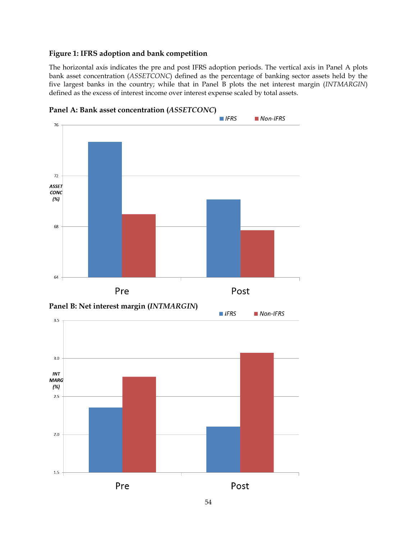### **Figure 1: IFRS adoption and bank competition**

The horizontal axis indicates the pre and post IFRS adoption periods. The vertical axis in Panel A plots bank asset concentration (*ASSETCONC*) defined as the percentage of banking sector assets held by the five largest banks in the country; while that in Panel B plots the net interest margin (*INTMARGIN*) defined as the excess of interest income over interest expense scaled by total assets.



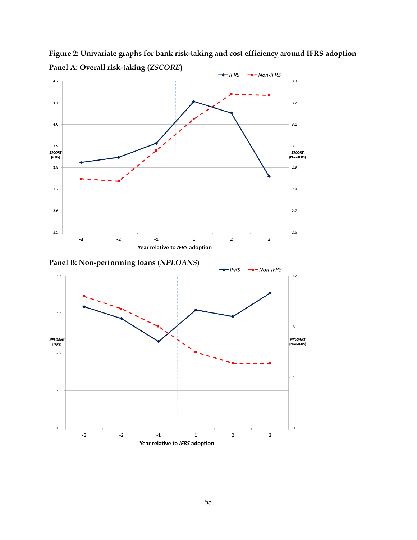

**Figure 2: Univariate graphs for bank risk-taking and cost efficiency around IFRS adoption Panel A: Overall risk-taking (***ZSCORE***)**

**Panel B: Non-performing loans (***NPLOANS***)**

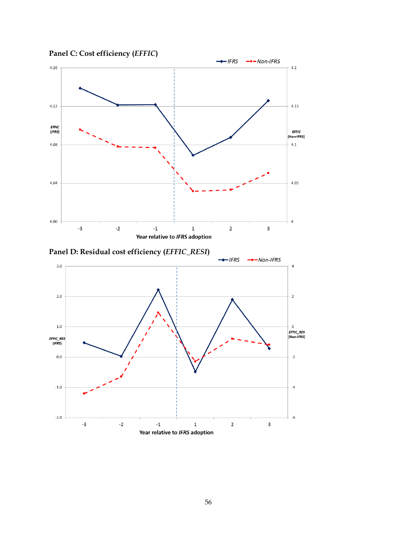